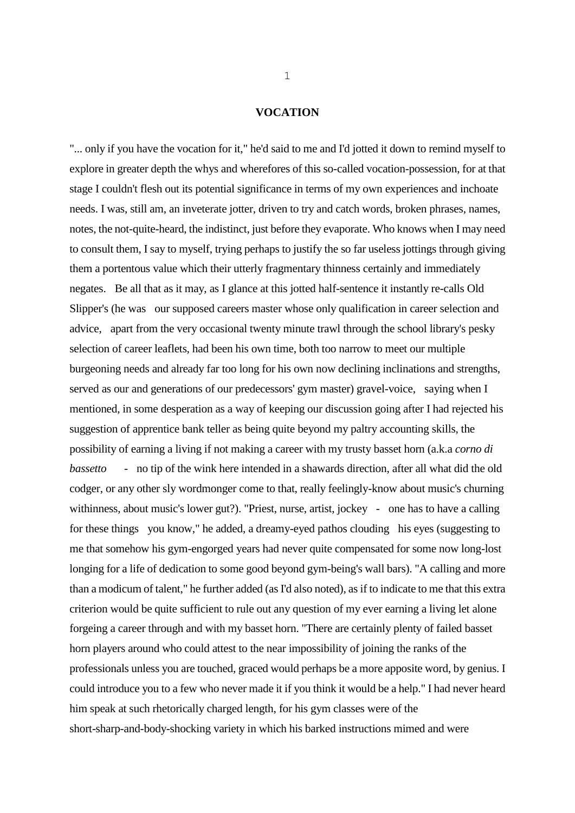## **VOCATION**

"... only if you have the vocation for it," he'd said to me and I'd jotted it down to remind myself to explore in greater depth the whys and wherefores of this so-called vocation-possession, for at that stage I couldn't flesh out its potential significance in terms of my own experiences and inchoate needs. I was, still am, an inveterate jotter, driven to try and catch words, broken phrases, names, notes, the not-quite-heard, the indistinct, just before they evaporate. Who knows when I may need to consult them, I say to myself, trying perhaps to justify the so far useless jottings through giving them a portentous value which their utterly fragmentary thinness certainly and immediately negates. Be all that as it may, as I glance at this jotted half-sentence it instantly re-calls Old Slipper's (he was our supposed careers master whose only qualification in career selection and advice, apart from the very occasional twenty minute trawl through the school library's pesky selection of career leaflets, had been his own time, both too narrow to meet our multiple burgeoning needs and already far too long for his own now declining inclinations and strengths, served as our and generations of our predecessors' gym master) gravel-voice, saying when I mentioned, in some desperation as a way of keeping our discussion going after I had rejected his suggestion of apprentice bank teller as being quite beyond my paltry accounting skills, the possibility of earning a living if not making a career with my trusty basset horn (a.k.a *corno di bassetto* - no tip of the wink here intended in a shawards direction, after all what did the old codger, or any other sly wordmonger come to that, really feelingly-know about music's churning withinness, about music's lower gut?). "Priest, nurse, artist, jockey - one has to have a calling for these things you know," he added, a dreamy-eyed pathos clouding his eyes (suggesting to me that somehow his gym-engorged years had never quite compensated for some now long-lost longing for a life of dedication to some good beyond gym-being's wall bars). "A calling and more than a modicum of talent," he further added (as I'd also noted), as if to indicate to me that this extra criterion would be quite sufficient to rule out any question of my ever earning a living let alone forgeing a career through and with my basset horn. "There are certainly plenty of failed basset horn players around who could attest to the near impossibility of joining the ranks of the professionals unless you are touched, graced would perhaps be a more apposite word, by genius. I could introduce you to a few who never made it if you think it would be a help." I had never heard him speak at such rhetorically charged length, for his gym classes were of the short-sharp-and-body-shocking variety in which his barked instructions mimed and were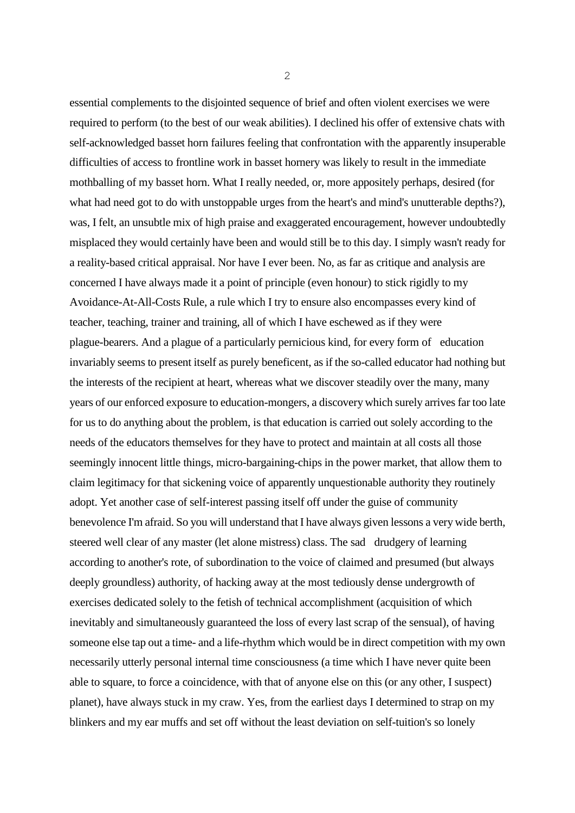essential complements to the disjointed sequence of brief and often violent exercises we were required to perform (to the best of our weak abilities). I declined his offer of extensive chats with self-acknowledged basset horn failures feeling that confrontation with the apparently insuperable difficulties of access to frontline work in basset hornery was likely to result in the immediate mothballing of my basset horn. What I really needed, or, more appositely perhaps, desired (for what had need got to do with unstoppable urges from the heart's and mind's unutterable depths?), was, I felt, an unsubtle mix of high praise and exaggerated encouragement, however undoubtedly misplaced they would certainly have been and would still be to this day. I simply wasn't ready for a reality-based critical appraisal. Nor have I ever been. No, as far as critique and analysis are concerned I have always made it a point of principle (even honour) to stick rigidly to my Avoidance-At-All-Costs Rule, a rule which I try to ensure also encompasses every kind of teacher, teaching, trainer and training, all of which I have eschewed as if they were plague-bearers. And a plague of a particularly pernicious kind, for every form of education invariably seems to present itself as purely beneficent, as if the so-called educator had nothing but the interests of the recipient at heart, whereas what we discover steadily over the many, many years of our enforced exposure to education-mongers, a discovery which surely arrives far too late for us to do anything about the problem, is that education is carried out solely according to the needs of the educators themselves for they have to protect and maintain at all costs all those seemingly innocent little things, micro-bargaining-chips in the power market, that allow them to claim legitimacy for that sickening voice of apparently unquestionable authority they routinely adopt. Yet another case of self-interest passing itself off under the guise of community benevolence I'm afraid. So you will understand that I have always given lessons a very wide berth, steered well clear of any master (let alone mistress) class. The sad drudgery of learning according to another's rote, of subordination to the voice of claimed and presumed (but always deeply groundless) authority, of hacking away at the most tediously dense undergrowth of exercises dedicated solely to the fetish of technical accomplishment (acquisition of which inevitably and simultaneously guaranteed the loss of every last scrap of the sensual), of having someone else tap out a time- and a life-rhythm which would be in direct competition with my own necessarily utterly personal internal time consciousness (a time which I have never quite been able to square, to force a coincidence, with that of anyone else on this (or any other, I suspect) planet), have always stuck in my craw. Yes, from the earliest days I determined to strap on my blinkers and my ear muffs and set off without the least deviation on self-tuition's so lonely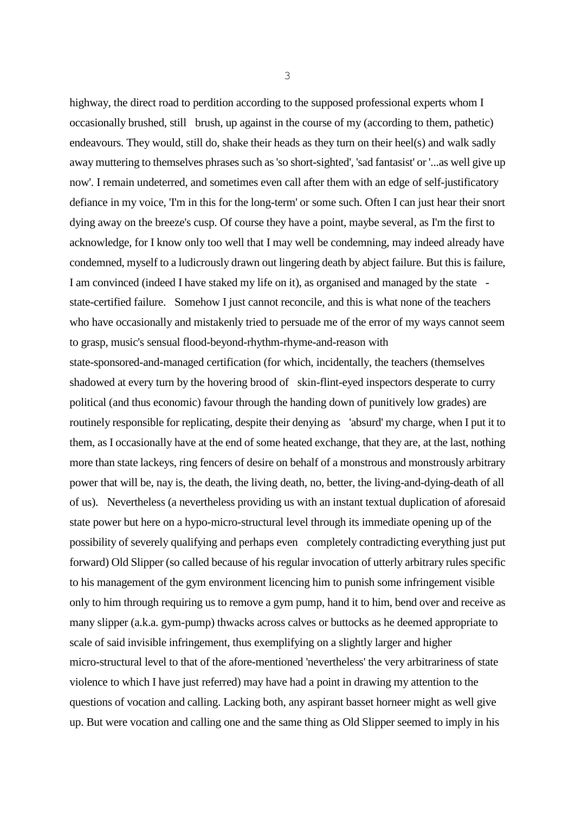highway, the direct road to perdition according to the supposed professional experts whom I occasionally brushed, still brush, up against in the course of my (according to them, pathetic) endeavours. They would, still do, shake their heads as they turn on their heel(s) and walk sadly away muttering to themselves phrases such as 'so short-sighted', 'sad fantasist' or '...as well give up now'. I remain undeterred, and sometimes even call after them with an edge of self-justificatory defiance in my voice, 'I'm in this for the long-term' or some such. Often I can just hear their snort dying away on the breeze's cusp. Of course they have a point, maybe several, as I'm the first to acknowledge, for I know only too well that I may well be condemning, may indeed already have condemned, myself to a ludicrously drawn out lingering death by abject failure. But this is failure, I am convinced (indeed I have staked my life on it), as organised and managed by the state state-certified failure. Somehow I just cannot reconcile, and this is what none of the teachers who have occasionally and mistakenly tried to persuade me of the error of my ways cannot seem to grasp, music's sensual flood-beyond-rhythm-rhyme-and-reason with

state-sponsored-and-managed certification (for which, incidentally, the teachers (themselves shadowed at every turn by the hovering brood of skin-flint-eyed inspectors desperate to curry political (and thus economic) favour through the handing down of punitively low grades) are routinely responsible for replicating, despite their denying as 'absurd' my charge, when I put it to them, as I occasionally have at the end of some heated exchange, that they are, at the last, nothing more than state lackeys, ring fencers of desire on behalf of a monstrous and monstrously arbitrary power that will be, nay is, the death, the living death, no, better, the living-and-dying-death of all of us). Nevertheless (a nevertheless providing us with an instant textual duplication of aforesaid state power but here on a hypo-micro-structural level through its immediate opening up of the possibility of severely qualifying and perhaps even completely contradicting everything just put forward) Old Slipper (so called because of his regular invocation of utterly arbitrary rules specific to his management of the gym environment licencing him to punish some infringement visible only to him through requiring us to remove a gym pump, hand it to him, bend over and receive as many slipper (a.k.a. gym-pump) thwacks across calves or buttocks as he deemed appropriate to scale of said invisible infringement, thus exemplifying on a slightly larger and higher micro-structural level to that of the afore-mentioned 'nevertheless' the very arbitrariness of state violence to which I have just referred) may have had a point in drawing my attention to the questions of vocation and calling. Lacking both, any aspirant basset horneer might as well give up. But were vocation and calling one and the same thing as Old Slipper seemed to imply in his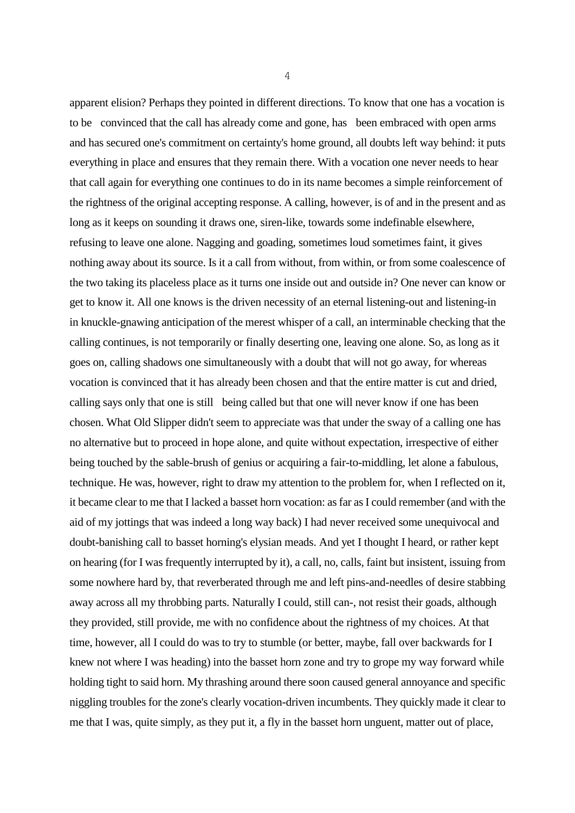apparent elision? Perhaps they pointed in different directions. To know that one has a vocation is to be convinced that the call has already come and gone, has been embraced with open arms and has secured one's commitment on certainty's home ground, all doubts left way behind: it puts everything in place and ensures that they remain there. With a vocation one never needs to hear that call again for everything one continues to do in its name becomes a simple reinforcement of the rightness of the original accepting response. A calling, however, is of and in the present and as long as it keeps on sounding it draws one, siren-like, towards some indefinable elsewhere, refusing to leave one alone. Nagging and goading, sometimes loud sometimes faint, it gives nothing away about its source. Is it a call from without, from within, or from some coalescence of the two taking its placeless place as it turns one inside out and outside in? One never can know or get to know it. All one knows is the driven necessity of an eternal listening-out and listening-in in knuckle-gnawing anticipation of the merest whisper of a call, an interminable checking that the calling continues, is not temporarily or finally deserting one, leaving one alone. So, as long as it goes on, calling shadows one simultaneously with a doubt that will not go away, for whereas vocation is convinced that it has already been chosen and that the entire matter is cut and dried, calling says only that one is still being called but that one will never know if one has been chosen. What Old Slipper didn't seem to appreciate was that under the sway of a calling one has no alternative but to proceed in hope alone, and quite without expectation, irrespective of either being touched by the sable-brush of genius or acquiring a fair-to-middling, let alone a fabulous, technique. He was, however, right to draw my attention to the problem for, when I reflected on it, it became clear to me that I lacked a basset horn vocation: as far as I could remember (and with the aid of my jottings that was indeed a long way back) I had never received some unequivocal and doubt-banishing call to basset horning's elysian meads. And yet I thought I heard, or rather kept on hearing (for I was frequently interrupted by it), a call, no, calls, faint but insistent, issuing from some nowhere hard by, that reverberated through me and left pins-and-needles of desire stabbing away across all my throbbing parts. Naturally I could, still can-, not resist their goads, although they provided, still provide, me with no confidence about the rightness of my choices. At that time, however, all I could do was to try to stumble (or better, maybe, fall over backwards for I knew not where I was heading) into the basset horn zone and try to grope my way forward while holding tight to said horn. My thrashing around there soon caused general annoyance and specific niggling troubles for the zone's clearly vocation-driven incumbents. They quickly made it clear to me that I was, quite simply, as they put it, a fly in the basset horn unguent, matter out of place,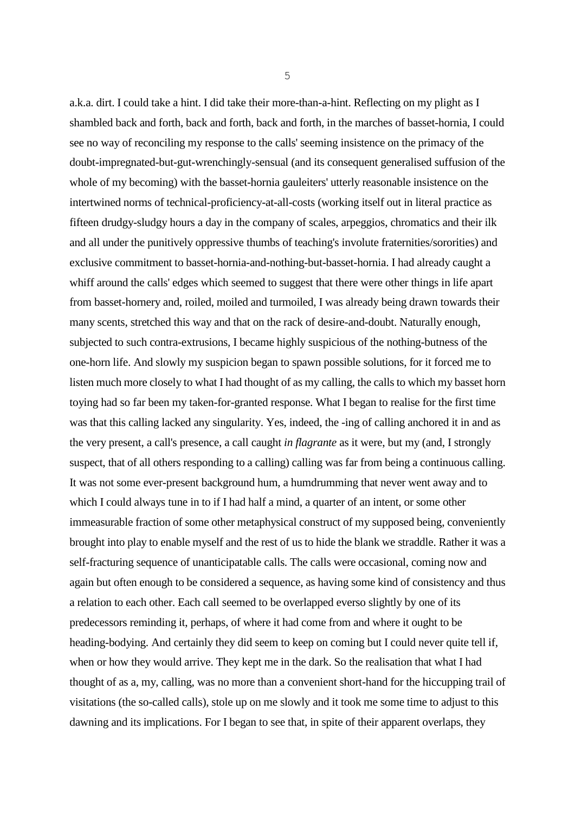a.k.a. dirt. I could take a hint. I did take their more-than-a-hint. Reflecting on my plight as I shambled back and forth, back and forth, back and forth, in the marches of basset-hornia, I could see no way of reconciling my response to the calls' seeming insistence on the primacy of the doubt-impregnated-but-gut-wrenchingly-sensual (and its consequent generalised suffusion of the whole of my becoming) with the basset-hornia gauleiters' utterly reasonable insistence on the intertwined norms of technical-proficiency-at-all-costs (working itself out in literal practice as fifteen drudgy-sludgy hours a day in the company of scales, arpeggios, chromatics and their ilk and all under the punitively oppressive thumbs of teaching's involute fraternities/sororities) and exclusive commitment to basset-hornia-and-nothing-but-basset-hornia. I had already caught a whiff around the calls' edges which seemed to suggest that there were other things in life apart from basset-hornery and, roiled, moiled and turmoiled, I was already being drawn towards their many scents, stretched this way and that on the rack of desire-and-doubt. Naturally enough, subjected to such contra-extrusions, I became highly suspicious of the nothing-butness of the one-horn life. And slowly my suspicion began to spawn possible solutions, for it forced me to listen much more closely to what I had thought of as my calling, the calls to which my basset horn toying had so far been my taken-for-granted response. What I began to realise for the first time was that this calling lacked any singularity. Yes, indeed, the -ing of calling anchored it in and as the very present, a call's presence, a call caught *in flagrante* as it were, but my (and, I strongly suspect, that of all others responding to a calling) calling was far from being a continuous calling. It was not some ever-present background hum, a humdrumming that never went away and to which I could always tune in to if I had half a mind, a quarter of an intent, or some other immeasurable fraction of some other metaphysical construct of my supposed being, conveniently brought into play to enable myself and the rest of us to hide the blank we straddle. Rather it was a self-fracturing sequence of unanticipatable calls. The calls were occasional, coming now and again but often enough to be considered a sequence, as having some kind of consistency and thus a relation to each other. Each call seemed to be overlapped everso slightly by one of its predecessors reminding it, perhaps, of where it had come from and where it ought to be heading-bodying. And certainly they did seem to keep on coming but I could never quite tell if, when or how they would arrive. They kept me in the dark. So the realisation that what I had thought of as a, my, calling, was no more than a convenient short-hand for the hiccupping trail of visitations (the so-called calls), stole up on me slowly and it took me some time to adjust to this dawning and its implications. For I began to see that, in spite of their apparent overlaps, they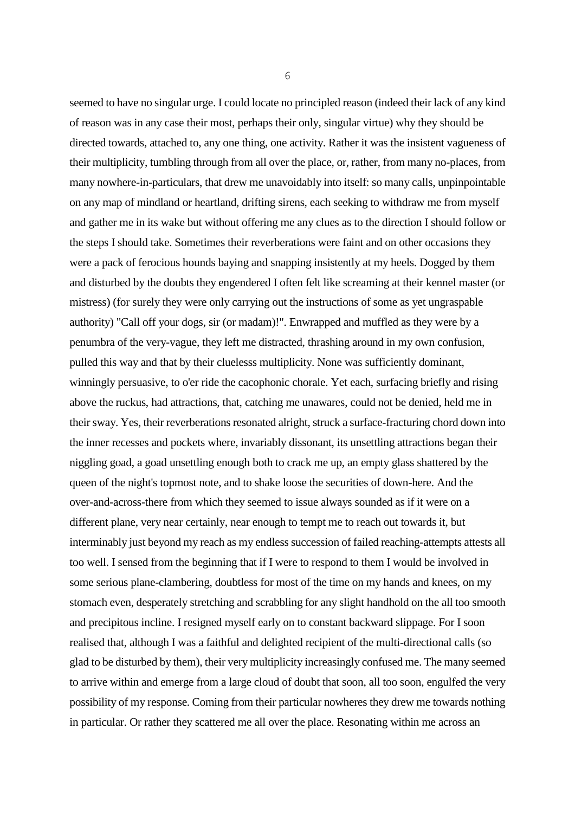seemed to have no singular urge. I could locate no principled reason (indeed their lack of any kind of reason was in any case their most, perhaps their only, singular virtue) why they should be directed towards, attached to, any one thing, one activity. Rather it was the insistent vagueness of their multiplicity, tumbling through from all over the place, or, rather, from many no-places, from many nowhere-in-particulars, that drew me unavoidably into itself: so many calls, unpinpointable on any map of mindland or heartland, drifting sirens, each seeking to withdraw me from myself and gather me in its wake but without offering me any clues as to the direction I should follow or the steps I should take. Sometimes their reverberations were faint and on other occasions they were a pack of ferocious hounds baying and snapping insistently at my heels. Dogged by them and disturbed by the doubts they engendered I often felt like screaming at their kennel master (or mistress) (for surely they were only carrying out the instructions of some as yet ungraspable authority) "Call off your dogs, sir (or madam)!". Enwrapped and muffled as they were by a penumbra of the very-vague, they left me distracted, thrashing around in my own confusion, pulled this way and that by their cluelesss multiplicity. None was sufficiently dominant, winningly persuasive, to o'er ride the cacophonic chorale. Yet each, surfacing briefly and rising above the ruckus, had attractions, that, catching me unawares, could not be denied, held me in their sway. Yes, their reverberations resonated alright, struck a surface-fracturing chord down into the inner recesses and pockets where, invariably dissonant, its unsettling attractions began their niggling goad, a goad unsettling enough both to crack me up, an empty glass shattered by the queen of the night's topmost note, and to shake loose the securities of down-here. And the over-and-across-there from which they seemed to issue always sounded as if it were on a different plane, very near certainly, near enough to tempt me to reach out towards it, but interminably just beyond my reach as my endless succession of failed reaching-attempts attests all too well. I sensed from the beginning that if I were to respond to them I would be involved in some serious plane-clambering, doubtless for most of the time on my hands and knees, on my stomach even, desperately stretching and scrabbling for any slight handhold on the all too smooth and precipitous incline. I resigned myself early on to constant backward slippage. For I soon realised that, although I was a faithful and delighted recipient of the multi-directional calls (so glad to be disturbed by them), their very multiplicity increasingly confused me. The many seemed to arrive within and emerge from a large cloud of doubt that soon, all too soon, engulfed the very possibility of my response. Coming from their particular nowheres they drew me towards nothing in particular. Or rather they scattered me all over the place. Resonating within me across an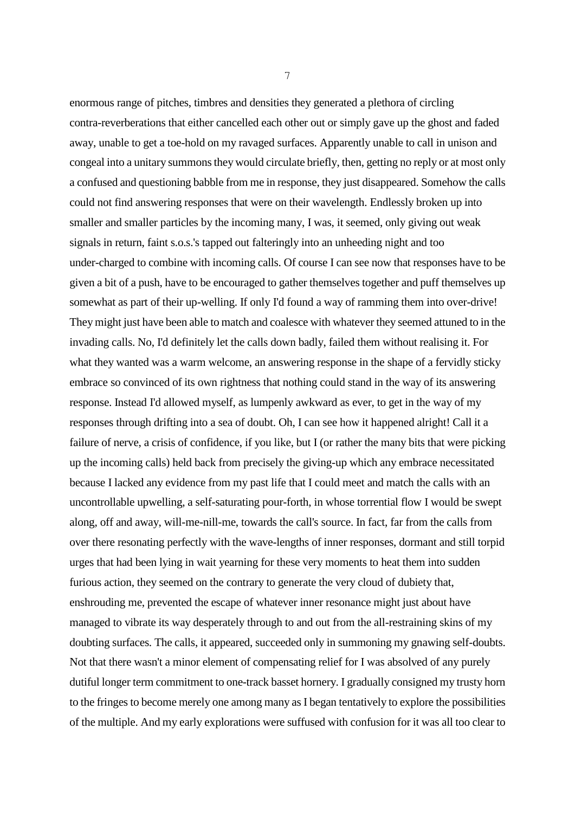enormous range of pitches, timbres and densities they generated a plethora of circling contra-reverberations that either cancelled each other out or simply gave up the ghost and faded away, unable to get a toe-hold on my ravaged surfaces. Apparently unable to call in unison and congeal into a unitary summons they would circulate briefly, then, getting no reply or at most only a confused and questioning babble from me in response, they just disappeared. Somehow the calls could not find answering responses that were on their wavelength. Endlessly broken up into smaller and smaller particles by the incoming many, I was, it seemed, only giving out weak signals in return, faint s.o.s.'s tapped out falteringly into an unheeding night and too under-charged to combine with incoming calls. Of course I can see now that responses have to be given a bit of a push, have to be encouraged to gather themselves together and puff themselves up somewhat as part of their up-welling. If only I'd found a way of ramming them into over-drive! They might just have been able to match and coalesce with whatever they seemed attuned to in the invading calls. No, I'd definitely let the calls down badly, failed them without realising it. For what they wanted was a warm welcome, an answering response in the shape of a fervidly sticky embrace so convinced of its own rightness that nothing could stand in the way of its answering response. Instead I'd allowed myself, as lumpenly awkward as ever, to get in the way of my responses through drifting into a sea of doubt. Oh, I can see how it happened alright! Call it a failure of nerve, a crisis of confidence, if you like, but I (or rather the many bits that were picking up the incoming calls) held back from precisely the giving-up which any embrace necessitated because I lacked any evidence from my past life that I could meet and match the calls with an uncontrollable upwelling, a self-saturating pour-forth, in whose torrential flow I would be swept along, off and away, will-me-nill-me, towards the call's source. In fact, far from the calls from over there resonating perfectly with the wave-lengths of inner responses, dormant and still torpid urges that had been lying in wait yearning for these very moments to heat them into sudden furious action, they seemed on the contrary to generate the very cloud of dubiety that, enshrouding me, prevented the escape of whatever inner resonance might just about have managed to vibrate its way desperately through to and out from the all-restraining skins of my doubting surfaces. The calls, it appeared, succeeded only in summoning my gnawing self-doubts. Not that there wasn't a minor element of compensating relief for I was absolved of any purely dutiful longer term commitment to one-track basset hornery. I gradually consigned my trusty horn to the fringes to become merely one among many as I began tentatively to explore the possibilities of the multiple. And my early explorations were suffused with confusion for it was all too clear to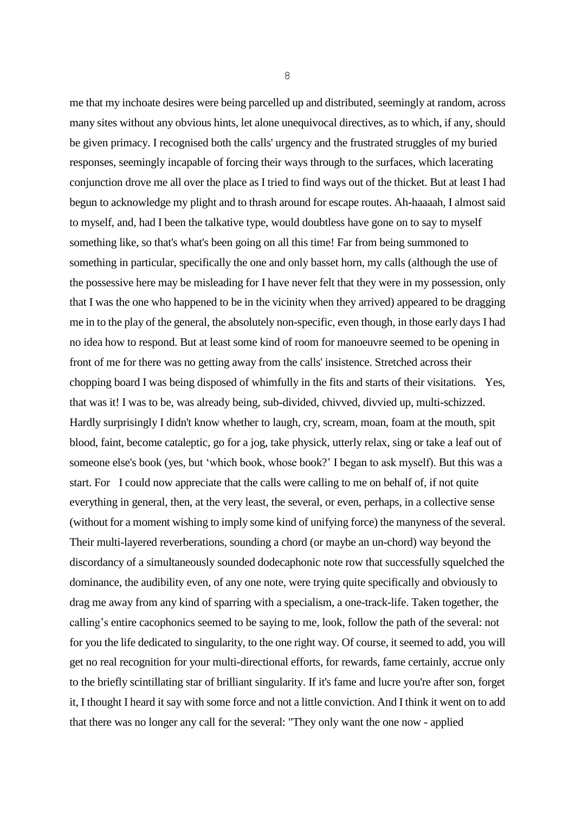me that my inchoate desires were being parcelled up and distributed, seemingly at random, across many sites without any obvious hints, let alone unequivocal directives, as to which, if any, should be given primacy. I recognised both the calls' urgency and the frustrated struggles of my buried responses, seemingly incapable of forcing their ways through to the surfaces, which lacerating conjunction drove me all over the place as I tried to find ways out of the thicket. But at least I had begun to acknowledge my plight and to thrash around for escape routes. Ah-haaaah, I almost said to myself, and, had I been the talkative type, would doubtless have gone on to say to myself something like, so that's what's been going on all this time! Far from being summoned to something in particular, specifically the one and only basset horn, my calls (although the use of the possessive here may be misleading for I have never felt that they were in my possession, only that I was the one who happened to be in the vicinity when they arrived) appeared to be dragging me in to the play of the general, the absolutely non-specific, even though, in those early days I had no idea how to respond. But at least some kind of room for manoeuvre seemed to be opening in front of me for there was no getting away from the calls' insistence. Stretched across their chopping board I was being disposed of whimfully in the fits and starts of their visitations. Yes, that was it! I was to be, was already being, sub-divided, chivved, divvied up, multi-schizzed. Hardly surprisingly I didn't know whether to laugh, cry, scream, moan, foam at the mouth, spit blood, faint, become cataleptic, go for a jog, take physick, utterly relax, sing or take a leaf out of someone else's book (yes, but 'which book, whose book?' I began to ask myself). But this was a start. For I could now appreciate that the calls were calling to me on behalf of, if not quite everything in general, then, at the very least, the several, or even, perhaps, in a collective sense (without for a moment wishing to imply some kind of unifying force) the manyness of the several. Their multi-layered reverberations, sounding a chord (or maybe an un-chord) way beyond the discordancy of a simultaneously sounded dodecaphonic note row that successfully squelched the dominance, the audibility even, of any one note, were trying quite specifically and obviously to drag me away from any kind of sparring with a specialism, a one-track-life. Taken together, the calling's entire cacophonics seemed to be saying to me, look, follow the path of the several: not for you the life dedicated to singularity, to the one right way. Of course, it seemed to add, you will get no real recognition for your multi-directional efforts, for rewards, fame certainly, accrue only to the briefly scintillating star of brilliant singularity. If it's fame and lucre you're after son, forget it, I thought I heard it say with some force and not a little conviction. And I think it went on to add that there was no longer any call for the several: "They only want the one now - applied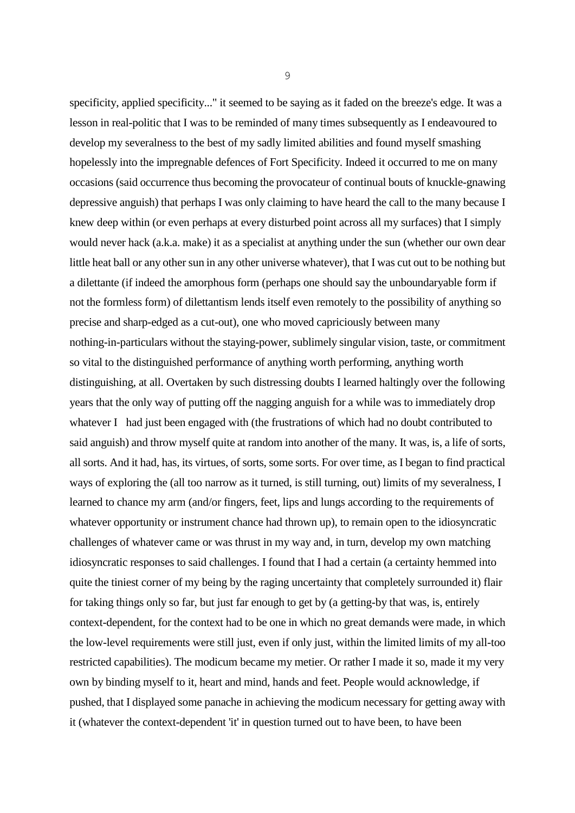specificity, applied specificity..." it seemed to be saying as it faded on the breeze's edge. It was a lesson in real-politic that I was to be reminded of many times subsequently as I endeavoured to develop my severalness to the best of my sadly limited abilities and found myself smashing hopelessly into the impregnable defences of Fort Specificity. Indeed it occurred to me on many occasions (said occurrence thus becoming the provocateur of continual bouts of knuckle-gnawing depressive anguish) that perhaps I was only claiming to have heard the call to the many because I knew deep within (or even perhaps at every disturbed point across all my surfaces) that I simply would never hack (a.k.a. make) it as a specialist at anything under the sun (whether our own dear little heat ball or any other sun in any other universe whatever), that I was cut out to be nothing but a dilettante (if indeed the amorphous form (perhaps one should say the unboundaryable form if not the formless form) of dilettantism lends itself even remotely to the possibility of anything so precise and sharp-edged as a cut-out), one who moved capriciously between many nothing-in-particulars without the staying-power, sublimely singular vision, taste, or commitment so vital to the distinguished performance of anything worth performing, anything worth distinguishing, at all. Overtaken by such distressing doubts I learned haltingly over the following years that the only way of putting off the nagging anguish for a while was to immediately drop whatever I had just been engaged with (the frustrations of which had no doubt contributed to said anguish) and throw myself quite at random into another of the many. It was, is, a life of sorts, all sorts. And it had, has, its virtues, of sorts, some sorts. For over time, as I began to find practical ways of exploring the (all too narrow as it turned, is still turning, out) limits of my severalness, I learned to chance my arm (and/or fingers, feet, lips and lungs according to the requirements of whatever opportunity or instrument chance had thrown up), to remain open to the idiosyncratic challenges of whatever came or was thrust in my way and, in turn, develop my own matching idiosyncratic responses to said challenges. I found that I had a certain (a certainty hemmed into quite the tiniest corner of my being by the raging uncertainty that completely surrounded it) flair for taking things only so far, but just far enough to get by (a getting-by that was, is, entirely context-dependent, for the context had to be one in which no great demands were made, in which the low-level requirements were still just, even if only just, within the limited limits of my all-too restricted capabilities). The modicum became my metier. Or rather I made it so, made it my very own by binding myself to it, heart and mind, hands and feet. People would acknowledge, if pushed, that I displayed some panache in achieving the modicum necessary for getting away with it (whatever the context-dependent 'it' in question turned out to have been, to have been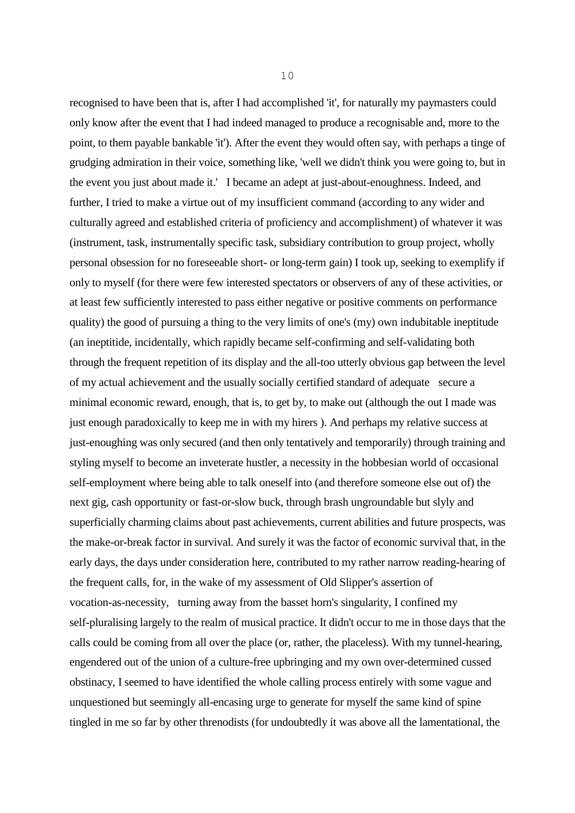recognised to have been that is, after I had accomplished 'it', for naturally my paymasters could only know after the event that I had indeed managed to produce a recognisable and, more to the point, to them payable bankable 'it'). After the event they would often say, with perhaps a tinge of grudging admiration in their voice, something like, 'well we didn't think you were going to, but in the event you just about made it.' I became an adept at just-about-enoughness. Indeed, and further, I tried to make a virtue out of my insufficient command (according to any wider and culturally agreed and established criteria of proficiency and accomplishment) of whatever it was (instrument, task, instrumentally specific task, subsidiary contribution to group project, wholly personal obsession for no foreseeable short- or long-term gain) I took up, seeking to exemplify if only to myself (for there were few interested spectators or observers of any of these activities, or at least few sufficiently interested to pass either negative or positive comments on performance quality) the good of pursuing a thing to the very limits of one's (my) own indubitable ineptitude (an ineptitide, incidentally, which rapidly became self-confirming and self-validating both through the frequent repetition of its display and the all-too utterly obvious gap between the level of my actual achievement and the usually socially certified standard of adequate secure a minimal economic reward, enough, that is, to get by, to make out (although the out I made was just enough paradoxically to keep me in with my hirers ). And perhaps my relative success at just-enoughing was only secured (and then only tentatively and temporarily) through training and styling myself to become an inveterate hustler, a necessity in the hobbesian world of occasional self-employment where being able to talk oneself into (and therefore someone else out of) the next gig, cash opportunity or fast-or-slow buck, through brash ungroundable but slyly and superficially charming claims about past achievements, current abilities and future prospects, was the make-or-break factor in survival. And surely it was the factor of economic survival that, in the early days, the days under consideration here, contributed to my rather narrow reading-hearing of the frequent calls, for, in the wake of my assessment of Old Slipper's assertion of vocation-as-necessity, turning away from the basset horn's singularity, I confined my self-pluralising largely to the realm of musical practice. It didn't occur to me in those days that the calls could be coming from all over the place (or, rather, the placeless). With my tunnel-hearing, engendered out of the union of a culture-free upbringing and my own over-determined cussed obstinacy, I seemed to have identified the whole calling process entirely with some vague and unquestioned but seemingly all-encasing urge to generate for myself the same kind of spine tingled in me so far by other threnodists (for undoubtedly it was above all the lamentational, the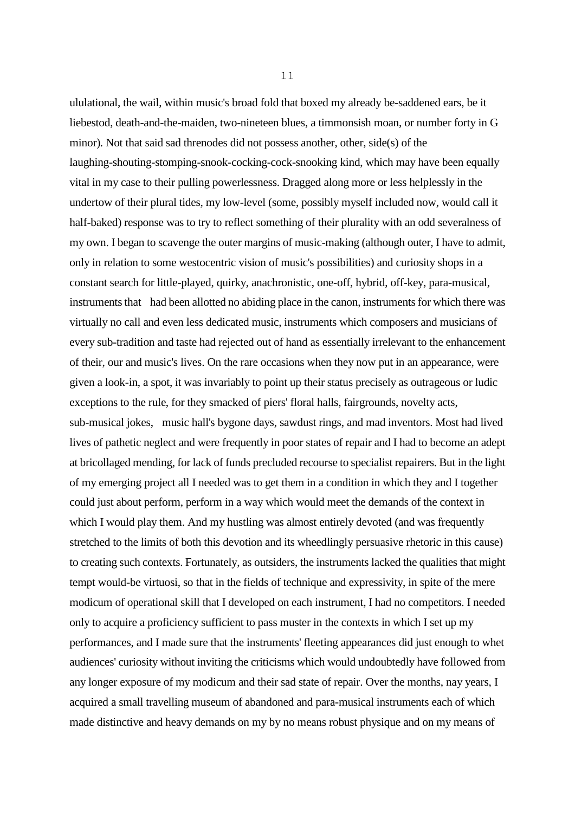ululational, the wail, within music's broad fold that boxed my already be-saddened ears, be it liebestod, death-and-the-maiden, two-nineteen blues, a timmonsish moan, or number forty in G minor). Not that said sad threnodes did not possess another, other, side(s) of the laughing-shouting-stomping-snook-cocking-cock-snooking kind, which may have been equally vital in my case to their pulling powerlessness. Dragged along more or less helplessly in the undertow of their plural tides, my low-level (some, possibly myself included now, would call it half-baked) response was to try to reflect something of their plurality with an odd severalness of my own. I began to scavenge the outer margins of music-making (although outer, I have to admit, only in relation to some westocentric vision of music's possibilities) and curiosity shops in a constant search for little-played, quirky, anachronistic, one-off, hybrid, off-key, para-musical, instruments that had been allotted no abiding place in the canon, instruments for which there was virtually no call and even less dedicated music, instruments which composers and musicians of every sub-tradition and taste had rejected out of hand as essentially irrelevant to the enhancement of their, our and music's lives. On the rare occasions when they now put in an appearance, were given a look-in, a spot, it was invariably to point up their status precisely as outrageous or ludic exceptions to the rule, for they smacked of piers' floral halls, fairgrounds, novelty acts, sub-musical jokes, music hall's bygone days, sawdust rings, and mad inventors. Most had lived lives of pathetic neglect and were frequently in poor states of repair and I had to become an adept at bricollaged mending, for lack of funds precluded recourse to specialist repairers. But in the light of my emerging project all I needed was to get them in a condition in which they and I together could just about perform, perform in a way which would meet the demands of the context in which I would play them. And my hustling was almost entirely devoted (and was frequently stretched to the limits of both this devotion and its wheedlingly persuasive rhetoric in this cause) to creating such contexts. Fortunately, as outsiders, the instruments lacked the qualities that might tempt would-be virtuosi, so that in the fields of technique and expressivity, in spite of the mere modicum of operational skill that I developed on each instrument, I had no competitors. I needed only to acquire a proficiency sufficient to pass muster in the contexts in which I set up my performances, and I made sure that the instruments' fleeting appearances did just enough to whet audiences' curiosity without inviting the criticisms which would undoubtedly have followed from any longer exposure of my modicum and their sad state of repair. Over the months, nay years, I acquired a small travelling museum of abandoned and para-musical instruments each of which made distinctive and heavy demands on my by no means robust physique and on my means of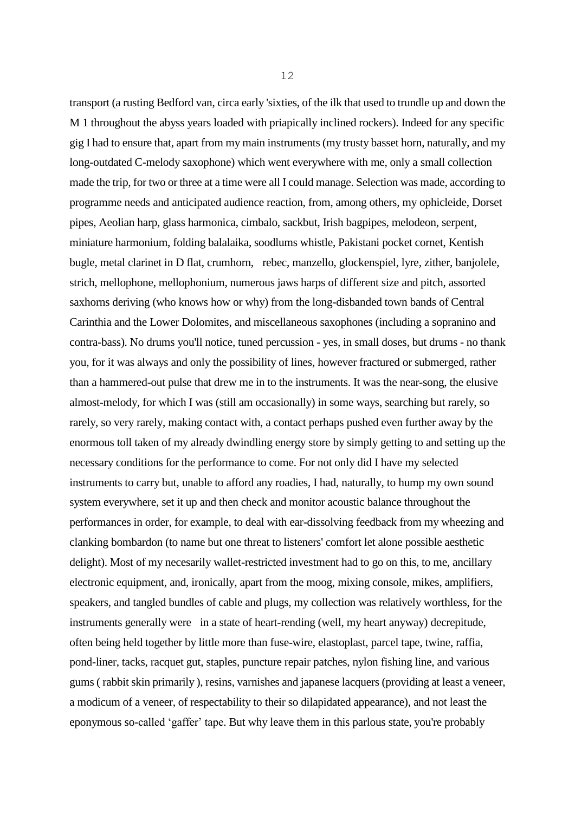transport (a rusting Bedford van, circa early 'sixties, of the ilk that used to trundle up and down the M 1 throughout the abyss years loaded with priapically inclined rockers). Indeed for any specific gig I had to ensure that, apart from my main instruments (my trusty basset horn, naturally, and my long-outdated C-melody saxophone) which went everywhere with me, only a small collection made the trip, for two or three at a time were all I could manage. Selection was made, according to programme needs and anticipated audience reaction, from, among others, my ophicleide, Dorset pipes, Aeolian harp, glass harmonica, cimbalo, sackbut, Irish bagpipes, melodeon, serpent, miniature harmonium, folding balalaika, soodlums whistle, Pakistani pocket cornet, Kentish bugle, metal clarinet in D flat, crumhorn, rebec, manzello, glockenspiel, lyre, zither, banjolele, strich, mellophone, mellophonium, numerous jaws harps of different size and pitch, assorted saxhorns deriving (who knows how or why) from the long-disbanded town bands of Central Carinthia and the Lower Dolomites, and miscellaneous saxophones (including a sopranino and contra-bass). No drums you'll notice, tuned percussion - yes, in small doses, but drums - no thank you, for it was always and only the possibility of lines, however fractured or submerged, rather than a hammered-out pulse that drew me in to the instruments. It was the near-song, the elusive almost-melody, for which I was (still am occasionally) in some ways, searching but rarely, so rarely, so very rarely, making contact with, a contact perhaps pushed even further away by the enormous toll taken of my already dwindling energy store by simply getting to and setting up the necessary conditions for the performance to come. For not only did I have my selected instruments to carry but, unable to afford any roadies, I had, naturally, to hump my own sound system everywhere, set it up and then check and monitor acoustic balance throughout the performances in order, for example, to deal with ear-dissolving feedback from my wheezing and clanking bombardon (to name but one threat to listeners' comfort let alone possible aesthetic delight). Most of my necesarily wallet-restricted investment had to go on this, to me, ancillary electronic equipment, and, ironically, apart from the moog, mixing console, mikes, amplifiers, speakers, and tangled bundles of cable and plugs, my collection was relatively worthless, for the instruments generally were in a state of heart-rending (well, my heart anyway) decrepitude, often being held together by little more than fuse-wire, elastoplast, parcel tape, twine, raffia, pond-liner, tacks, racquet gut, staples, puncture repair patches, nylon fishing line, and various gums ( rabbit skin primarily ), resins, varnishes and japanese lacquers (providing at least a veneer, a modicum of a veneer, of respectability to their so dilapidated appearance), and not least the eponymous so-called 'gaffer' tape. But why leave them in this parlous state, you're probably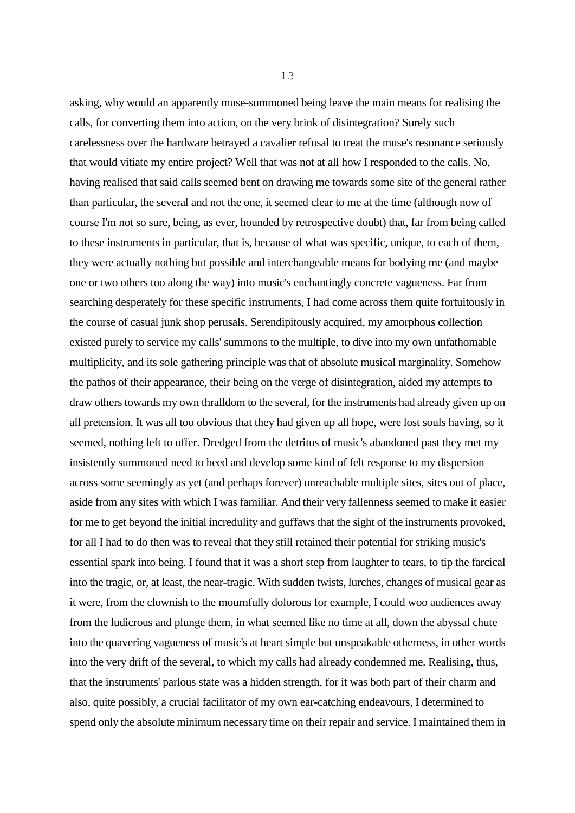asking, why would an apparently muse-summoned being leave the main means for realising the calls, for converting them into action, on the very brink of disintegration? Surely such carelessness over the hardware betrayed a cavalier refusal to treat the muse's resonance seriously that would vitiate my entire project? Well that was not at all how I responded to the calls. No, having realised that said calls seemed bent on drawing me towards some site of the general rather than particular, the several and not the one, it seemed clear to me at the time (although now of course I'm not so sure, being, as ever, hounded by retrospective doubt) that, far from being called to these instruments in particular, that is, because of what was specific, unique, to each of them, they were actually nothing but possible and interchangeable means for bodying me (and maybe one or two others too along the way) into music's enchantingly concrete vagueness. Far from searching desperately for these specific instruments, I had come across them quite fortuitously in the course of casual junk shop perusals. Serendipitously acquired, my amorphous collection existed purely to service my calls' summons to the multiple, to dive into my own unfathomable multiplicity, and its sole gathering principle was that of absolute musical marginality. Somehow the pathos of their appearance, their being on the verge of disintegration, aided my attempts to draw others towards my own thralldom to the several, for the instruments had already given up on all pretension. It was all too obvious that they had given up all hope, were lost souls having, so it seemed, nothing left to offer. Dredged from the detritus of music's abandoned past they met my insistently summoned need to heed and develop some kind of felt response to my dispersion across some seemingly as yet (and perhaps forever) unreachable multiple sites, sites out of place, aside from any sites with which I was familiar. And their very fallenness seemed to make it easier for me to get beyond the initial incredulity and guffaws that the sight of the instruments provoked, for all I had to do then was to reveal that they still retained their potential for striking music's essential spark into being. I found that it was a short step from laughter to tears, to tip the farcical into the tragic, or, at least, the near-tragic. With sudden twists, lurches, changes of musical gear as it were, from the clownish to the mournfully dolorous for example, I could woo audiences away from the ludicrous and plunge them, in what seemed like no time at all, down the abyssal chute into the quavering vagueness of music's at heart simple but unspeakable otherness, in other words into the very drift of the several, to which my calls had already condemned me. Realising, thus, that the instruments' parlous state was a hidden strength, for it was both part of their charm and also, quite possibly, a crucial facilitator of my own ear-catching endeavours, I determined to spend only the absolute minimum necessary time on their repair and service. I maintained them in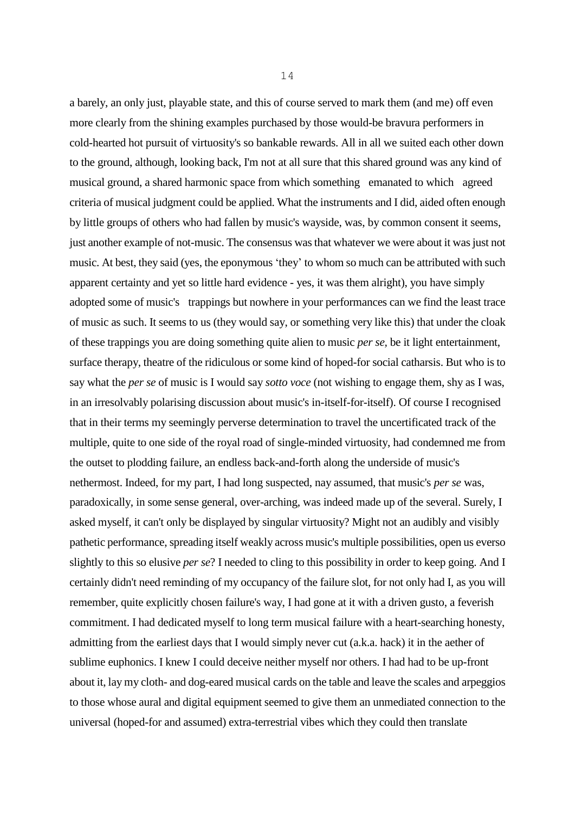a barely, an only just, playable state, and this of course served to mark them (and me) off even more clearly from the shining examples purchased by those would-be bravura performers in cold-hearted hot pursuit of virtuosity's so bankable rewards. All in all we suited each other down to the ground, although, looking back, I'm not at all sure that this shared ground was any kind of musical ground, a shared harmonic space from which something emanated to which agreed criteria of musical judgment could be applied. What the instruments and I did, aided often enough by little groups of others who had fallen by music's wayside, was, by common consent it seems, just another example of not-music. The consensus was that whatever we were about it was just not music. At best, they said (yes, the eponymous 'they' to whom so much can be attributed with such apparent certainty and yet so little hard evidence - yes, it was them alright), you have simply adopted some of music's trappings but nowhere in your performances can we find the least trace of music as such. It seems to us (they would say, or something very like this) that under the cloak of these trappings you are doing something quite alien to music *per se,* be it light entertainment, surface therapy, theatre of the ridiculous or some kind of hoped-for social catharsis. But who is to say what the *per se* of music is I would say *sotto voce* (not wishing to engage them, shy as I was, in an irresolvably polarising discussion about music's in-itself-for-itself). Of course I recognised that in their terms my seemingly perverse determination to travel the uncertificated track of the multiple, quite to one side of the royal road of single-minded virtuosity, had condemned me from the outset to plodding failure, an endless back-and-forth along the underside of music's nethermost. Indeed, for my part, I had long suspected, nay assumed, that music's *per se* was, paradoxically, in some sense general, over-arching, was indeed made up of the several. Surely, I asked myself, it can't only be displayed by singular virtuosity? Might not an audibly and visibly pathetic performance, spreading itself weakly across music's multiple possibilities, open us everso slightly to this so elusive *per se*? I needed to cling to this possibility in order to keep going. And I certainly didn't need reminding of my occupancy of the failure slot, for not only had I, as you will remember, quite explicitly chosen failure's way, I had gone at it with a driven gusto, a feverish commitment. I had dedicated myself to long term musical failure with a heart-searching honesty, admitting from the earliest days that I would simply never cut (a.k.a. hack) it in the aether of sublime euphonics. I knew I could deceive neither myself nor others. I had had to be up-front about it, lay my cloth- and dog-eared musical cards on the table and leave the scales and arpeggios to those whose aural and digital equipment seemed to give them an unmediated connection to the universal (hoped-for and assumed) extra-terrestrial vibes which they could then translate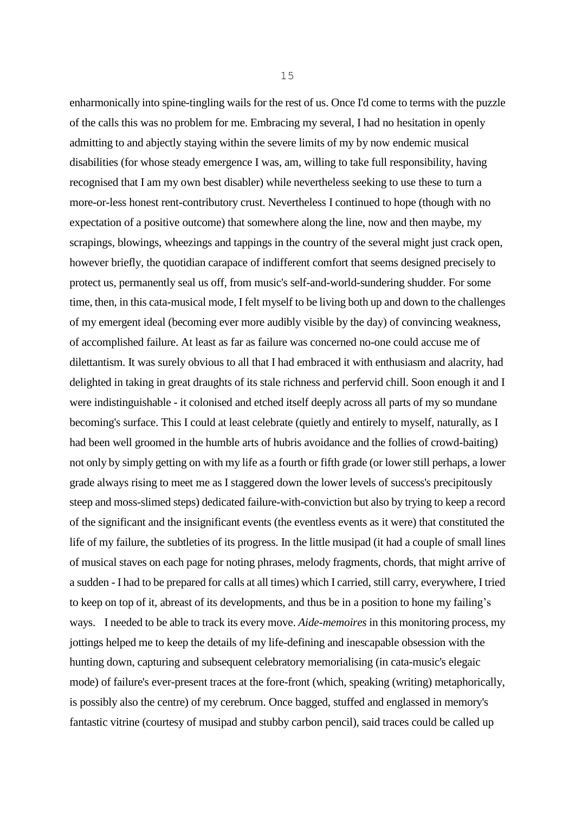enharmonically into spine-tingling wails for the rest of us. Once I'd come to terms with the puzzle of the calls this was no problem for me. Embracing my several, I had no hesitation in openly admitting to and abjectly staying within the severe limits of my by now endemic musical disabilities (for whose steady emergence I was, am, willing to take full responsibility, having recognised that I am my own best disabler) while nevertheless seeking to use these to turn a more-or-less honest rent-contributory crust. Nevertheless I continued to hope (though with no expectation of a positive outcome) that somewhere along the line, now and then maybe, my scrapings, blowings, wheezings and tappings in the country of the several might just crack open, however briefly, the quotidian carapace of indifferent comfort that seems designed precisely to protect us, permanently seal us off, from music's self-and-world-sundering shudder. For some time, then, in this cata-musical mode, I felt myself to be living both up and down to the challenges of my emergent ideal (becoming ever more audibly visible by the day) of convincing weakness, of accomplished failure. At least as far as failure was concerned no-one could accuse me of dilettantism. It was surely obvious to all that I had embraced it with enthusiasm and alacrity, had delighted in taking in great draughts of its stale richness and perfervid chill. Soon enough it and I were indistinguishable - it colonised and etched itself deeply across all parts of my so mundane becoming's surface. This I could at least celebrate (quietly and entirely to myself, naturally, as I had been well groomed in the humble arts of hubris avoidance and the follies of crowd-baiting) not only by simply getting on with my life as a fourth or fifth grade (or lower still perhaps, a lower grade always rising to meet me as I staggered down the lower levels of success's precipitously steep and moss-slimed steps) dedicated failure-with-conviction but also by trying to keep a record of the significant and the insignificant events (the eventless events as it were) that constituted the life of my failure, the subtleties of its progress. In the little musipad (it had a couple of small lines of musical staves on each page for noting phrases, melody fragments, chords, that might arrive of a sudden - I had to be prepared for calls at all times) which I carried, still carry, everywhere, I tried to keep on top of it, abreast of its developments, and thus be in a position to hone my failing's ways. I needed to be able to track its every move. *Aide-memoires* in this monitoring process, my jottings helped me to keep the details of my life-defining and inescapable obsession with the hunting down, capturing and subsequent celebratory memorialising (in cata-music's elegaic mode) of failure's ever-present traces at the fore-front (which, speaking (writing) metaphorically, is possibly also the centre) of my cerebrum. Once bagged, stuffed and englassed in memory's fantastic vitrine (courtesy of musipad and stubby carbon pencil), said traces could be called up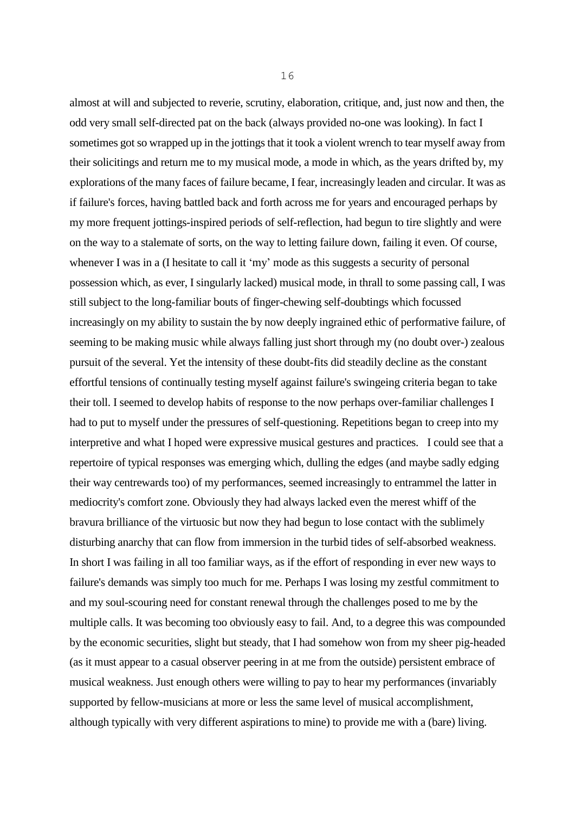almost at will and subjected to reverie, scrutiny, elaboration, critique, and, just now and then, the odd very small self-directed pat on the back (always provided no-one was looking). In fact I sometimes got so wrapped up in the jottings that it took a violent wrench to tear myself away from their solicitings and return me to my musical mode, a mode in which, as the years drifted by, my explorations of the many faces of failure became, I fear, increasingly leaden and circular. It was as if failure's forces, having battled back and forth across me for years and encouraged perhaps by my more frequent jottings-inspired periods of self-reflection, had begun to tire slightly and were on the way to a stalemate of sorts, on the way to letting failure down, failing it even. Of course, whenever I was in a (I hesitate to call it 'my' mode as this suggests a security of personal possession which, as ever, I singularly lacked) musical mode, in thrall to some passing call, I was still subject to the long-familiar bouts of finger-chewing self-doubtings which focussed increasingly on my ability to sustain the by now deeply ingrained ethic of performative failure, of seeming to be making music while always falling just short through my (no doubt over-) zealous pursuit of the several. Yet the intensity of these doubt-fits did steadily decline as the constant effortful tensions of continually testing myself against failure's swingeing criteria began to take their toll. I seemed to develop habits of response to the now perhaps over-familiar challenges I had to put to myself under the pressures of self-questioning. Repetitions began to creep into my interpretive and what I hoped were expressive musical gestures and practices. I could see that a repertoire of typical responses was emerging which, dulling the edges (and maybe sadly edging their way centrewards too) of my performances, seemed increasingly to entrammel the latter in mediocrity's comfort zone. Obviously they had always lacked even the merest whiff of the bravura brilliance of the virtuosic but now they had begun to lose contact with the sublimely disturbing anarchy that can flow from immersion in the turbid tides of self-absorbed weakness. In short I was failing in all too familiar ways, as if the effort of responding in ever new ways to failure's demands was simply too much for me. Perhaps I was losing my zestful commitment to and my soul-scouring need for constant renewal through the challenges posed to me by the multiple calls. It was becoming too obviously easy to fail. And, to a degree this was compounded by the economic securities, slight but steady, that I had somehow won from my sheer pig-headed (as it must appear to a casual observer peering in at me from the outside) persistent embrace of musical weakness. Just enough others were willing to pay to hear my performances (invariably supported by fellow-musicians at more or less the same level of musical accomplishment, although typically with very different aspirations to mine) to provide me with a (bare) living.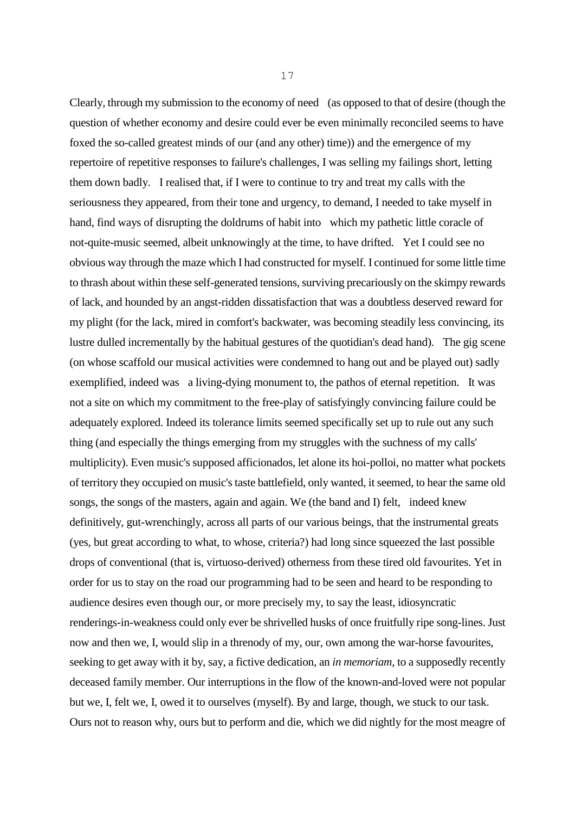Clearly, through my submission to the economy of need (as opposed to that of desire (though the question of whether economy and desire could ever be even minimally reconciled seems to have foxed the so-called greatest minds of our (and any other) time)) and the emergence of my repertoire of repetitive responses to failure's challenges, I was selling my failings short, letting them down badly. I realised that, if I were to continue to try and treat my calls with the seriousness they appeared, from their tone and urgency, to demand, I needed to take myself in hand, find ways of disrupting the doldrums of habit into which my pathetic little coracle of not-quite-music seemed, albeit unknowingly at the time, to have drifted. Yet I could see no obvious way through the maze which I had constructed for myself. I continued for some little time to thrash about within these self-generated tensions, surviving precariously on the skimpy rewards of lack, and hounded by an angst-ridden dissatisfaction that was a doubtless deserved reward for my plight (for the lack, mired in comfort's backwater, was becoming steadily less convincing, its lustre dulled incrementally by the habitual gestures of the quotidian's dead hand). The gig scene (on whose scaffold our musical activities were condemned to hang out and be played out) sadly exemplified, indeed was a living-dying monument to, the pathos of eternal repetition. It was not a site on which my commitment to the free-play of satisfyingly convincing failure could be adequately explored. Indeed its tolerance limits seemed specifically set up to rule out any such thing (and especially the things emerging from my struggles with the suchness of my calls' multiplicity). Even music's supposed afficionados, let alone its hoi-polloi, no matter what pockets of territory they occupied on music's taste battlefield, only wanted, it seemed, to hear the same old songs, the songs of the masters, again and again. We (the band and I) felt, indeed knew definitively, gut-wrenchingly, across all parts of our various beings, that the instrumental greats (yes, but great according to what, to whose, criteria?) had long since squeezed the last possible drops of conventional (that is, virtuoso-derived) otherness from these tired old favourites. Yet in order for us to stay on the road our programming had to be seen and heard to be responding to audience desires even though our, or more precisely my, to say the least, idiosyncratic renderings-in-weakness could only ever be shrivelled husks of once fruitfully ripe song-lines. Just now and then we, I, would slip in a threnody of my, our, own among the war-horse favourites, seeking to get away with it by, say, a fictive dedication, an *in memoriam*, to a supposedly recently deceased family member. Our interruptions in the flow of the known-and-loved were not popular but we, I, felt we, I, owed it to ourselves (myself). By and large, though, we stuck to our task. Ours not to reason why, ours but to perform and die, which we did nightly for the most meagre of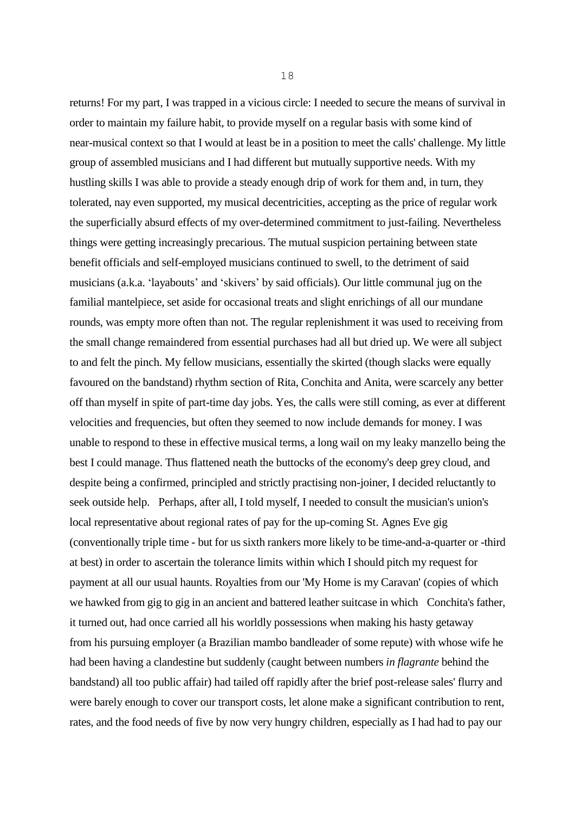returns! For my part, I was trapped in a vicious circle: I needed to secure the means of survival in order to maintain my failure habit, to provide myself on a regular basis with some kind of near-musical context so that I would at least be in a position to meet the calls' challenge. My little group of assembled musicians and I had different but mutually supportive needs. With my hustling skills I was able to provide a steady enough drip of work for them and, in turn, they tolerated, nay even supported, my musical decentricities, accepting as the price of regular work the superficially absurd effects of my over-determined commitment to just-failing. Nevertheless things were getting increasingly precarious. The mutual suspicion pertaining between state benefit officials and self-employed musicians continued to swell, to the detriment of said musicians (a.k.a. 'layabouts' and 'skivers' by said officials). Our little communal jug on the familial mantelpiece, set aside for occasional treats and slight enrichings of all our mundane rounds, was empty more often than not. The regular replenishment it was used to receiving from the small change remaindered from essential purchases had all but dried up. We were all subject to and felt the pinch. My fellow musicians, essentially the skirted (though slacks were equally favoured on the bandstand) rhythm section of Rita, Conchita and Anita, were scarcely any better off than myself in spite of part-time day jobs. Yes, the calls were still coming, as ever at different velocities and frequencies, but often they seemed to now include demands for money. I was unable to respond to these in effective musical terms, a long wail on my leaky manzello being the best I could manage. Thus flattened neath the buttocks of the economy's deep grey cloud, and despite being a confirmed, principled and strictly practising non-joiner, I decided reluctantly to seek outside help. Perhaps, after all, I told myself, I needed to consult the musician's union's local representative about regional rates of pay for the up-coming St. Agnes Eve gig (conventionally triple time - but for us sixth rankers more likely to be time-and-a-quarter or -third at best) in order to ascertain the tolerance limits within which I should pitch my request for payment at all our usual haunts. Royalties from our 'My Home is my Caravan' (copies of which we hawked from gig to gig in an ancient and battered leather suitcase in which Conchita's father, it turned out, had once carried all his worldly possessions when making his hasty getaway from his pursuing employer (a Brazilian mambo bandleader of some repute) with whose wife he had been having a clandestine but suddenly (caught between numbers *in flagrante* behind the bandstand) all too public affair) had tailed off rapidly after the brief post-release sales' flurry and were barely enough to cover our transport costs, let alone make a significant contribution to rent, rates, and the food needs of five by now very hungry children, especially as I had had to pay our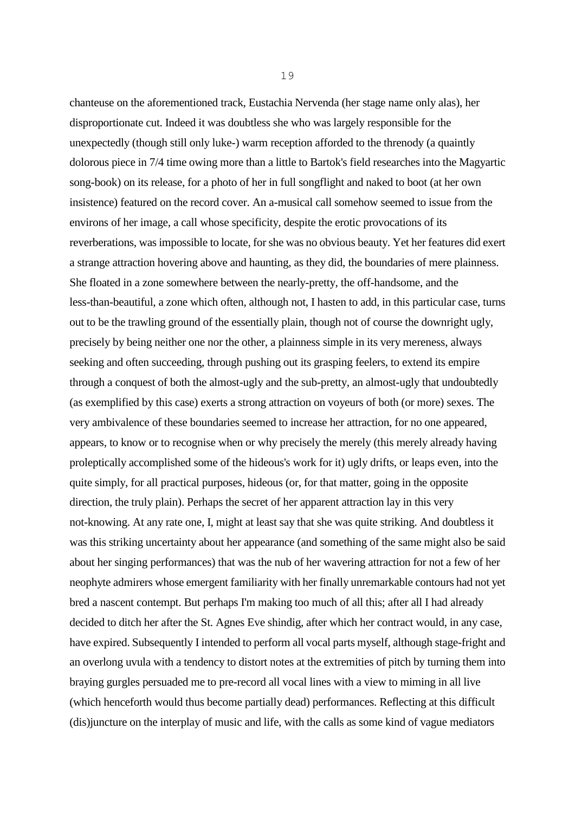chanteuse on the aforementioned track, Eustachia Nervenda (her stage name only alas), her disproportionate cut. Indeed it was doubtless she who was largely responsible for the unexpectedly (though still only luke-) warm reception afforded to the threnody (a quaintly dolorous piece in 7/4 time owing more than a little to Bartok's field researches into the Magyartic song-book) on its release, for a photo of her in full songflight and naked to boot (at her own insistence) featured on the record cover. An a-musical call somehow seemed to issue from the environs of her image, a call whose specificity, despite the erotic provocations of its reverberations, was impossible to locate, for she was no obvious beauty. Yet her features did exert a strange attraction hovering above and haunting, as they did, the boundaries of mere plainness. She floated in a zone somewhere between the nearly-pretty, the off-handsome, and the less-than-beautiful, a zone which often, although not, I hasten to add, in this particular case, turns out to be the trawling ground of the essentially plain, though not of course the downright ugly, precisely by being neither one nor the other, a plainness simple in its very mereness, always seeking and often succeeding, through pushing out its grasping feelers, to extend its empire through a conquest of both the almost-ugly and the sub-pretty, an almost-ugly that undoubtedly (as exemplified by this case) exerts a strong attraction on voyeurs of both (or more) sexes. The very ambivalence of these boundaries seemed to increase her attraction, for no one appeared, appears, to know or to recognise when or why precisely the merely (this merely already having proleptically accomplished some of the hideous's work for it) ugly drifts, or leaps even, into the quite simply, for all practical purposes, hideous (or, for that matter, going in the opposite direction, the truly plain). Perhaps the secret of her apparent attraction lay in this very not-knowing. At any rate one, I, might at least say that she was quite striking. And doubtless it was this striking uncertainty about her appearance (and something of the same might also be said about her singing performances) that was the nub of her wavering attraction for not a few of her neophyte admirers whose emergent familiarity with her finally unremarkable contours had not yet bred a nascent contempt. But perhaps I'm making too much of all this; after all I had already decided to ditch her after the St. Agnes Eve shindig, after which her contract would, in any case, have expired. Subsequently I intended to perform all vocal parts myself, although stage-fright and an overlong uvula with a tendency to distort notes at the extremities of pitch by turning them into braying gurgles persuaded me to pre-record all vocal lines with a view to miming in all live (which henceforth would thus become partially dead) performances. Reflecting at this difficult (dis)juncture on the interplay of music and life, with the calls as some kind of vague mediators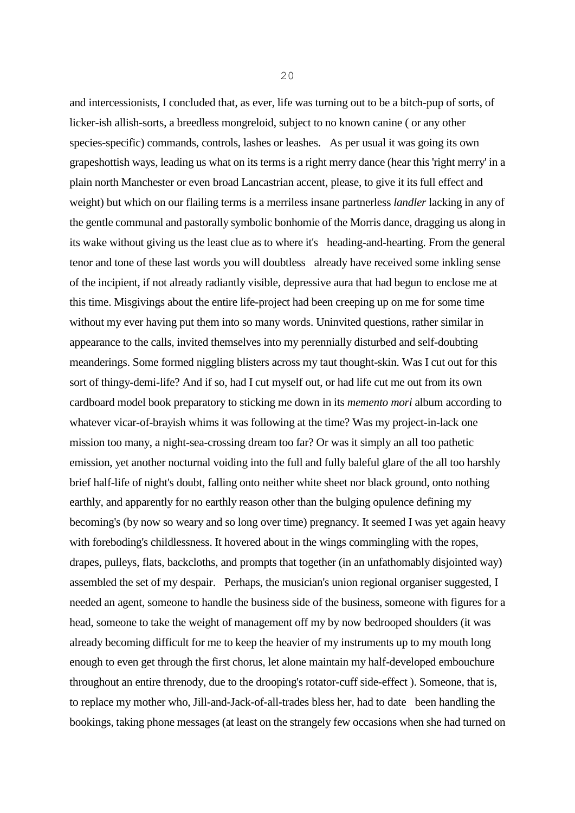and intercessionists, I concluded that, as ever, life was turning out to be a bitch-pup of sorts, of licker-ish allish-sorts, a breedless mongreloid, subject to no known canine ( or any other species-specific) commands, controls, lashes or leashes. As per usual it was going its own grapeshottish ways, leading us what on its terms is a right merry dance (hear this 'right merry' in a plain north Manchester or even broad Lancastrian accent, please, to give it its full effect and weight) but which on our flailing terms is a merriless insane partnerless *landler* lacking in any of the gentle communal and pastorally symbolic bonhomie of the Morris dance, dragging us along in its wake without giving us the least clue as to where it's heading-and-hearting. From the general tenor and tone of these last words you will doubtless already have received some inkling sense of the incipient, if not already radiantly visible, depressive aura that had begun to enclose me at this time. Misgivings about the entire life-project had been creeping up on me for some time without my ever having put them into so many words. Uninvited questions, rather similar in appearance to the calls, invited themselves into my perennially disturbed and self-doubting meanderings. Some formed niggling blisters across my taut thought-skin. Was I cut out for this sort of thingy-demi-life? And if so, had I cut myself out, or had life cut me out from its own cardboard model book preparatory to sticking me down in its *memento mori* album according to whatever vicar-of-brayish whims it was following at the time? Was my project-in-lack one mission too many, a night-sea-crossing dream too far? Or was it simply an all too pathetic emission, yet another nocturnal voiding into the full and fully baleful glare of the all too harshly brief half-life of night's doubt, falling onto neither white sheet nor black ground, onto nothing earthly, and apparently for no earthly reason other than the bulging opulence defining my becoming's (by now so weary and so long over time) pregnancy. It seemed I was yet again heavy with foreboding's childlessness. It hovered about in the wings commingling with the ropes, drapes, pulleys, flats, backcloths, and prompts that together (in an unfathomably disjointed way) assembled the set of my despair. Perhaps, the musician's union regional organiser suggested, I needed an agent, someone to handle the business side of the business, someone with figures for a head, someone to take the weight of management off my by now bedrooped shoulders (it was already becoming difficult for me to keep the heavier of my instruments up to my mouth long enough to even get through the first chorus, let alone maintain my half-developed embouchure

throughout an entire threnody, due to the drooping's rotator-cuff side-effect ). Someone, that is, to replace my mother who, Jill-and-Jack-of-all-trades bless her, had to date been handling the bookings, taking phone messages (at least on the strangely few occasions when she had turned on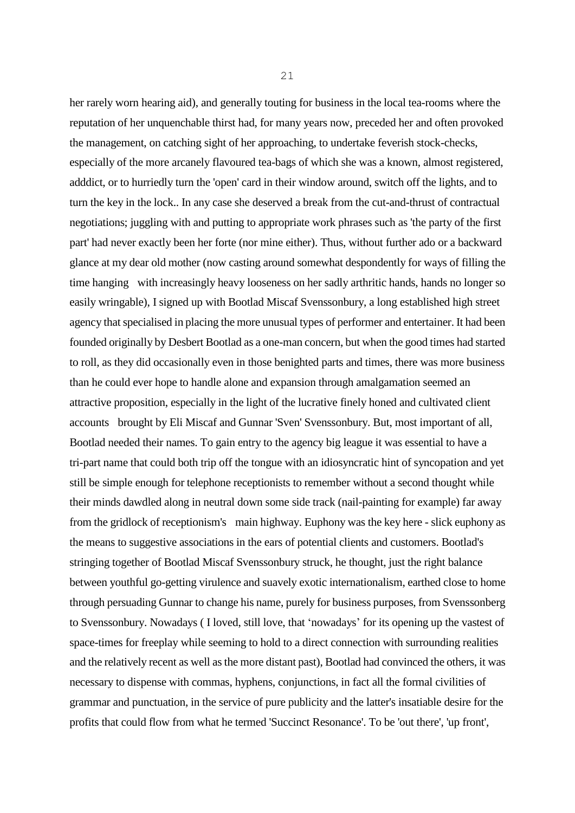her rarely worn hearing aid), and generally touting for business in the local tea-rooms where the reputation of her unquenchable thirst had, for many years now, preceded her and often provoked the management, on catching sight of her approaching, to undertake feverish stock-checks, especially of the more arcanely flavoured tea-bags of which she was a known, almost registered, adddict, or to hurriedly turn the 'open' card in their window around, switch off the lights, and to turn the key in the lock.. In any case she deserved a break from the cut-and-thrust of contractual negotiations; juggling with and putting to appropriate work phrases such as 'the party of the first part' had never exactly been her forte (nor mine either). Thus, without further ado or a backward glance at my dear old mother (now casting around somewhat despondently for ways of filling the time hanging with increasingly heavy looseness on her sadly arthritic hands, hands no longer so easily wringable), I signed up with Bootlad Miscaf Svenssonbury, a long established high street agency that specialised in placing the more unusual types of performer and entertainer. It had been founded originally by Desbert Bootlad as a one-man concern, but when the good times had started to roll, as they did occasionally even in those benighted parts and times, there was more business than he could ever hope to handle alone and expansion through amalgamation seemed an attractive proposition, especially in the light of the lucrative finely honed and cultivated client accounts brought by Eli Miscaf and Gunnar 'Sven' Svenssonbury. But, most important of all, Bootlad needed their names. To gain entry to the agency big league it was essential to have a tri-part name that could both trip off the tongue with an idiosyncratic hint of syncopation and yet still be simple enough for telephone receptionists to remember without a second thought while their minds dawdled along in neutral down some side track (nail-painting for example) far away from the gridlock of receptionism's main highway. Euphony was the key here - slick euphony as the means to suggestive associations in the ears of potential clients and customers. Bootlad's stringing together of Bootlad Miscaf Svenssonbury struck, he thought, just the right balance between youthful go-getting virulence and suavely exotic internationalism, earthed close to home through persuading Gunnar to change his name, purely for business purposes, from Svenssonberg to Svenssonbury. Nowadays ( I loved, still love, that 'nowadays' for its opening up the vastest of space-times for freeplay while seeming to hold to a direct connection with surrounding realities and the relatively recent as well as the more distant past), Bootlad had convinced the others, it was necessary to dispense with commas, hyphens, conjunctions, in fact all the formal civilities of grammar and punctuation, in the service of pure publicity and the latter's insatiable desire for the profits that could flow from what he termed 'Succinct Resonance'. To be 'out there', 'up front',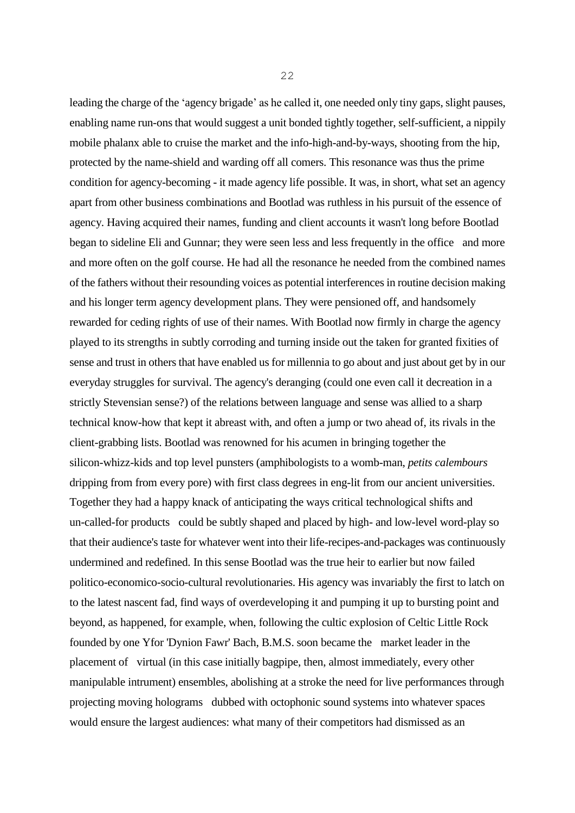leading the charge of the 'agency brigade' as he called it, one needed only tiny gaps, slight pauses, enabling name run-ons that would suggest a unit bonded tightly together, self-sufficient, a nippily mobile phalanx able to cruise the market and the info-high-and-by-ways, shooting from the hip, protected by the name-shield and warding off all comers. This resonance was thus the prime condition for agency-becoming - it made agency life possible. It was, in short, what set an agency apart from other business combinations and Bootlad was ruthless in his pursuit of the essence of agency. Having acquired their names, funding and client accounts it wasn't long before Bootlad began to sideline Eli and Gunnar; they were seen less and less frequently in the office and more and more often on the golf course. He had all the resonance he needed from the combined names of the fathers without their resounding voices as potential interferences in routine decision making and his longer term agency development plans. They were pensioned off, and handsomely rewarded for ceding rights of use of their names. With Bootlad now firmly in charge the agency played to its strengths in subtly corroding and turning inside out the taken for granted fixities of sense and trust in others that have enabled us for millennia to go about and just about get by in our everyday struggles for survival. The agency's deranging (could one even call it decreation in a strictly Stevensian sense?) of the relations between language and sense was allied to a sharp technical know-how that kept it abreast with, and often a jump or two ahead of, its rivals in the client-grabbing lists. Bootlad was renowned for his acumen in bringing together the silicon-whizz-kids and top level punsters (amphibologists to a womb-man, *petits calembours* dripping from from every pore) with first class degrees in eng-lit from our ancient universities. Together they had a happy knack of anticipating the ways critical technological shifts and un-called-for products could be subtly shaped and placed by high- and low-level word-play so that their audience's taste for whatever went into their life-recipes-and-packages was continuously undermined and redefined. In this sense Bootlad was the true heir to earlier but now failed politico-economico-socio-cultural revolutionaries. His agency was invariably the first to latch on to the latest nascent fad, find ways of overdeveloping it and pumping it up to bursting point and beyond, as happened, for example, when, following the cultic explosion of Celtic Little Rock founded by one Yfor 'Dynion Fawr' Bach, B.M.S. soon became the market leader in the placement of virtual (in this case initially bagpipe, then, almost immediately, every other manipulable intrument) ensembles, abolishing at a stroke the need for live performances through projecting moving holograms dubbed with octophonic sound systems into whatever spaces would ensure the largest audiences: what many of their competitors had dismissed as an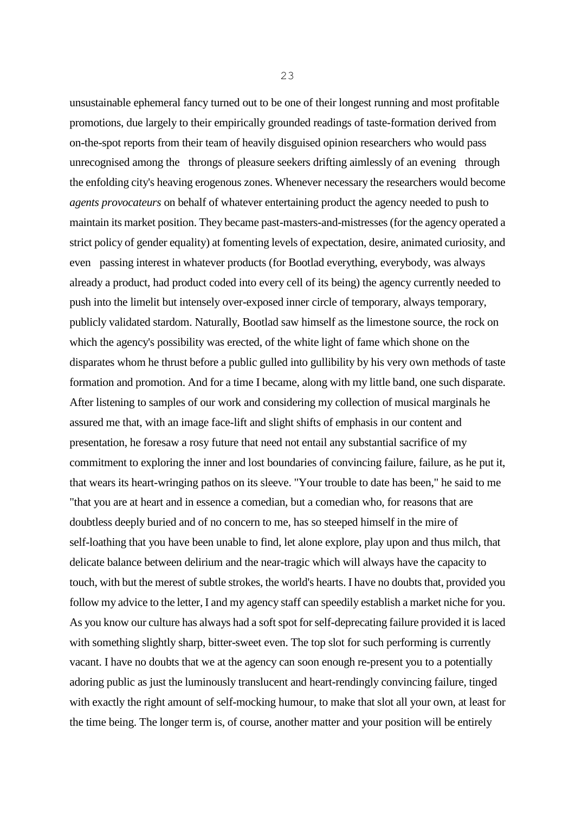unsustainable ephemeral fancy turned out to be one of their longest running and most profitable promotions, due largely to their empirically grounded readings of taste-formation derived from on-the-spot reports from their team of heavily disguised opinion researchers who would pass unrecognised among the throngs of pleasure seekers drifting aimlessly of an evening through the enfolding city's heaving erogenous zones. Whenever necessary the researchers would become *agents provocateurs* on behalf of whatever entertaining product the agency needed to push to maintain its market position. They became past-masters-and-mistresses (for the agency operated a strict policy of gender equality) at fomenting levels of expectation, desire, animated curiosity, and even passing interest in whatever products (for Bootlad everything, everybody, was always already a product, had product coded into every cell of its being) the agency currently needed to push into the limelit but intensely over-exposed inner circle of temporary, always temporary, publicly validated stardom. Naturally, Bootlad saw himself as the limestone source, the rock on which the agency's possibility was erected, of the white light of fame which shone on the disparates whom he thrust before a public gulled into gullibility by his very own methods of taste formation and promotion. And for a time I became, along with my little band, one such disparate. After listening to samples of our work and considering my collection of musical marginals he assured me that, with an image face-lift and slight shifts of emphasis in our content and presentation, he foresaw a rosy future that need not entail any substantial sacrifice of my commitment to exploring the inner and lost boundaries of convincing failure, failure, as he put it, that wears its heart-wringing pathos on its sleeve. "Your trouble to date has been," he said to me "that you are at heart and in essence a comedian, but a comedian who, for reasons that are doubtless deeply buried and of no concern to me, has so steeped himself in the mire of self-loathing that you have been unable to find, let alone explore, play upon and thus milch, that delicate balance between delirium and the near-tragic which will always have the capacity to touch, with but the merest of subtle strokes, the world's hearts. I have no doubts that, provided you follow my advice to the letter, I and my agency staff can speedily establish a market niche for you. As you know our culture has always had a soft spot for self-deprecating failure provided it is laced with something slightly sharp, bitter-sweet even. The top slot for such performing is currently vacant. I have no doubts that we at the agency can soon enough re-present you to a potentially adoring public as just the luminously translucent and heart-rendingly convincing failure, tinged with exactly the right amount of self-mocking humour, to make that slot all your own, at least for the time being. The longer term is, of course, another matter and your position will be entirely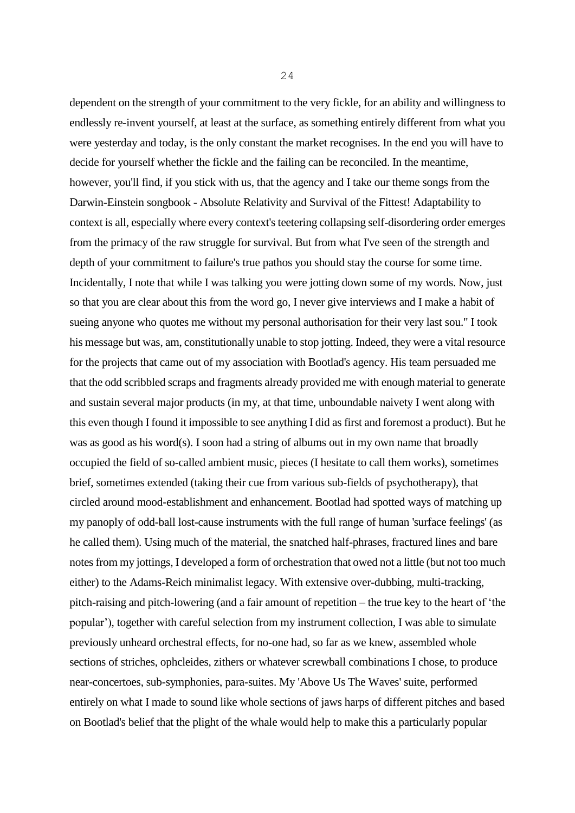dependent on the strength of your commitment to the very fickle, for an ability and willingness to endlessly re-invent yourself, at least at the surface, as something entirely different from what you were yesterday and today, is the only constant the market recognises. In the end you will have to decide for yourself whether the fickle and the failing can be reconciled. In the meantime, however, you'll find, if you stick with us, that the agency and I take our theme songs from the Darwin-Einstein songbook - Absolute Relativity and Survival of the Fittest! Adaptability to context is all, especially where every context's teetering collapsing self-disordering order emerges from the primacy of the raw struggle for survival. But from what I've seen of the strength and depth of your commitment to failure's true pathos you should stay the course for some time. Incidentally, I note that while I was talking you were jotting down some of my words. Now, just so that you are clear about this from the word go, I never give interviews and I make a habit of sueing anyone who quotes me without my personal authorisation for their very last sou." I took his message but was, am, constitutionally unable to stop jotting. Indeed, they were a vital resource for the projects that came out of my association with Bootlad's agency. His team persuaded me that the odd scribbled scraps and fragments already provided me with enough material to generate and sustain several major products (in my, at that time, unboundable naivety I went along with this even though I found it impossible to see anything I did as first and foremost a product). But he was as good as his word(s). I soon had a string of albums out in my own name that broadly occupied the field of so-called ambient music, pieces (I hesitate to call them works), sometimes brief, sometimes extended (taking their cue from various sub-fields of psychotherapy), that circled around mood-establishment and enhancement. Bootlad had spotted ways of matching up my panoply of odd-ball lost-cause instruments with the full range of human 'surface feelings' (as he called them). Using much of the material, the snatched half-phrases, fractured lines and bare notes from my jottings, I developed a form of orchestration that owed not a little (but not too much either) to the Adams-Reich minimalist legacy. With extensive over-dubbing, multi-tracking, pitch-raising and pitch-lowering (and a fair amount of repetition – the true key to the heart of 'the popular'), together with careful selection from my instrument collection, I was able to simulate previously unheard orchestral effects, for no-one had, so far as we knew, assembled whole sections of striches, ophcleides, zithers or whatever screwball combinations I chose, to produce near-concertoes, sub-symphonies, para-suites. My 'Above Us The Waves' suite, performed entirely on what I made to sound like whole sections of jaws harps of different pitches and based on Bootlad's belief that the plight of the whale would help to make this a particularly popular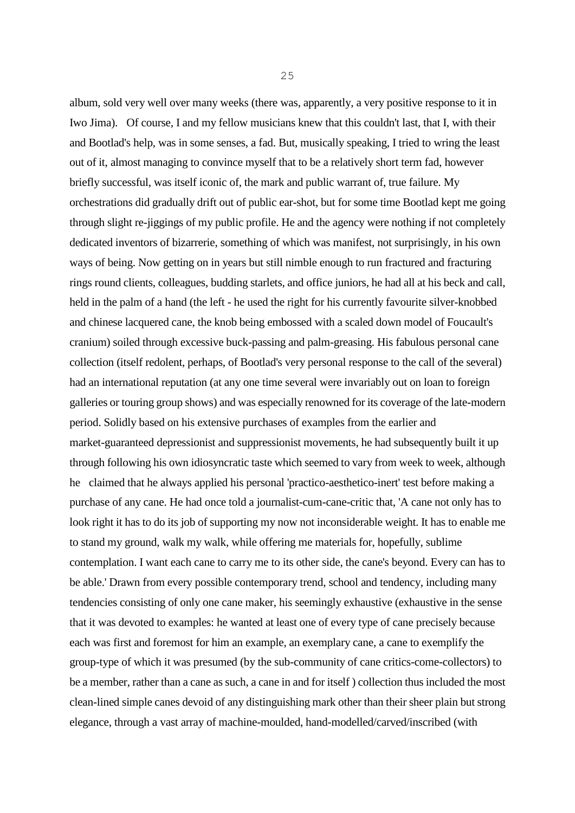album, sold very well over many weeks (there was, apparently, a very positive response to it in Iwo Jima). Of course, I and my fellow musicians knew that this couldn't last, that I, with their and Bootlad's help, was in some senses, a fad. But, musically speaking, I tried to wring the least out of it, almost managing to convince myself that to be a relatively short term fad, however briefly successful, was itself iconic of, the mark and public warrant of, true failure. My orchestrations did gradually drift out of public ear-shot, but for some time Bootlad kept me going through slight re-jiggings of my public profile. He and the agency were nothing if not completely dedicated inventors of bizarrerie, something of which was manifest, not surprisingly, in his own ways of being. Now getting on in years but still nimble enough to run fractured and fracturing rings round clients, colleagues, budding starlets, and office juniors, he had all at his beck and call, held in the palm of a hand (the left - he used the right for his currently favourite silver-knobbed and chinese lacquered cane, the knob being embossed with a scaled down model of Foucault's cranium) soiled through excessive buck-passing and palm-greasing. His fabulous personal cane collection (itself redolent, perhaps, of Bootlad's very personal response to the call of the several) had an international reputation (at any one time several were invariably out on loan to foreign galleries or touring group shows) and was especially renowned for its coverage of the late-modern period. Solidly based on his extensive purchases of examples from the earlier and market-guaranteed depressionist and suppressionist movements, he had subsequently built it up through following his own idiosyncratic taste which seemed to vary from week to week, although he claimed that he always applied his personal 'practico-aesthetico-inert' test before making a purchase of any cane. He had once told a journalist-cum-cane-critic that, 'A cane not only has to look right it has to do its job of supporting my now not inconsiderable weight. It has to enable me to stand my ground, walk my walk, while offering me materials for, hopefully, sublime contemplation. I want each cane to carry me to its other side, the cane's beyond. Every can has to be able.' Drawn from every possible contemporary trend, school and tendency, including many tendencies consisting of only one cane maker, his seemingly exhaustive (exhaustive in the sense that it was devoted to examples: he wanted at least one of every type of cane precisely because each was first and foremost for him an example, an exemplary cane, a cane to exemplify the group-type of which it was presumed (by the sub-community of cane critics-come-collectors) to be a member, rather than a cane as such, a cane in and for itself ) collection thus included the most clean-lined simple canes devoid of any distinguishing mark other than their sheer plain but strong elegance, through a vast array of machine-moulded, hand-modelled/carved/inscribed (with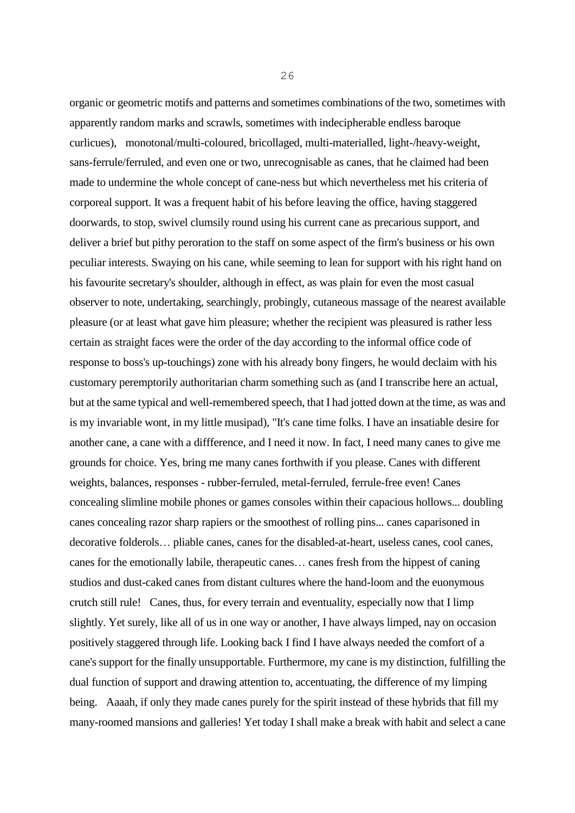organic or geometric motifs and patterns and sometimes combinations of the two, sometimes with apparently random marks and scrawls, sometimes with indecipherable endless baroque curlicues), monotonal/multi-coloured, bricollaged, multi-materialled, light-/heavy-weight, sans-ferrule/ferruled, and even one or two, unrecognisable as canes, that he claimed had been made to undermine the whole concept of cane-ness but which nevertheless met his criteria of corporeal support. It was a frequent habit of his before leaving the office, having staggered doorwards, to stop, swivel clumsily round using his current cane as precarious support, and deliver a brief but pithy peroration to the staff on some aspect of the firm's business or his own peculiar interests. Swaying on his cane, while seeming to lean for support with his right hand on his favourite secretary's shoulder, although in effect, as was plain for even the most casual observer to note, undertaking, searchingly, probingly, cutaneous massage of the nearest available pleasure (or at least what gave him pleasure; whether the recipient was pleasured is rather less certain as straight faces were the order of the day according to the informal office code of response to boss's up-touchings) zone with his already bony fingers, he would declaim with his customary peremptorily authoritarian charm something such as (and I transcribe here an actual, but at the same typical and well-remembered speech, that I had jotted down at the time, as was and is my invariable wont, in my little musipad), "It's cane time folks. I have an insatiable desire for another cane, a cane with a diffference, and I need it now. In fact, I need many canes to give me grounds for choice. Yes, bring me many canes forthwith if you please. Canes with different weights, balances, responses - rubber-ferruled, metal-ferruled, ferrule-free even! Canes concealing slimline mobile phones or games consoles within their capacious hollows... doubling canes concealing razor sharp rapiers or the smoothest of rolling pins... canes caparisoned in decorative folderols… pliable canes, canes for the disabled-at-heart, useless canes, cool canes, canes for the emotionally labile, therapeutic canes… canes fresh from the hippest of caning studios and dust-caked canes from distant cultures where the hand-loom and the euonymous crutch still rule! Canes, thus, for every terrain and eventuality, especially now that I limp slightly. Yet surely, like all of us in one way or another, I have always limped, nay on occasion positively staggered through life. Looking back I find I have always needed the comfort of a cane's support for the finally unsupportable. Furthermore, my cane is my distinction, fulfilling the dual function of support and drawing attention to, accentuating, the difference of my limping being. Aaaah, if only they made canes purely for the spirit instead of these hybrids that fill my many-roomed mansions and galleries! Yet today I shall make a break with habit and select a cane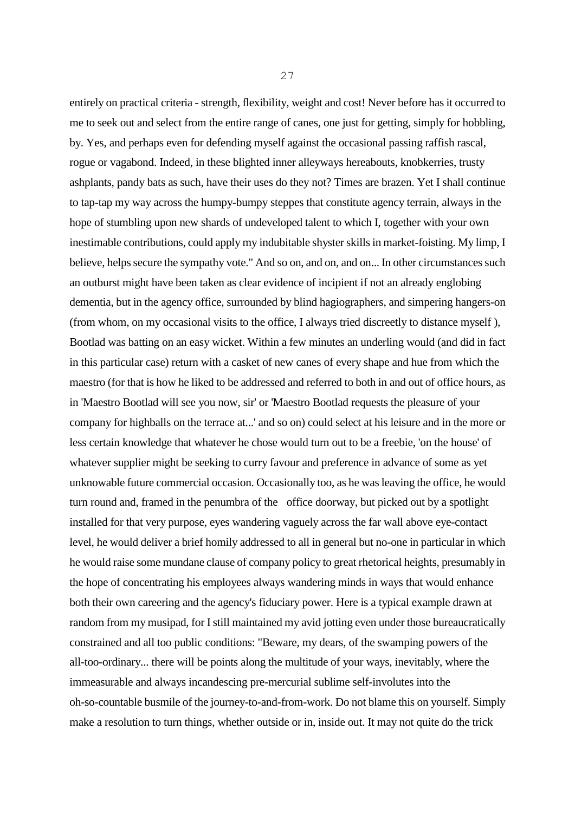entirely on practical criteria - strength, flexibility, weight and cost! Never before has it occurred to me to seek out and select from the entire range of canes, one just for getting, simply for hobbling, by. Yes, and perhaps even for defending myself against the occasional passing raffish rascal, rogue or vagabond. Indeed, in these blighted inner alleyways hereabouts, knobkerries, trusty ashplants, pandy bats as such, have their uses do they not? Times are brazen. Yet I shall continue to tap-tap my way across the humpy-bumpy steppes that constitute agency terrain, always in the hope of stumbling upon new shards of undeveloped talent to which I, together with your own inestimable contributions, could apply my indubitable shyster skills in market-foisting. My limp, I believe, helps secure the sympathy vote." And so on, and on, and on... In other circumstances such an outburst might have been taken as clear evidence of incipient if not an already englobing dementia, but in the agency office, surrounded by blind hagiographers, and simpering hangers-on (from whom, on my occasional visits to the office, I always tried discreetly to distance myself ), Bootlad was batting on an easy wicket. Within a few minutes an underling would (and did in fact in this particular case) return with a casket of new canes of every shape and hue from which the maestro (for that is how he liked to be addressed and referred to both in and out of office hours, as in 'Maestro Bootlad will see you now, sir' or 'Maestro Bootlad requests the pleasure of your company for highballs on the terrace at...' and so on) could select at his leisure and in the more or less certain knowledge that whatever he chose would turn out to be a freebie, 'on the house' of whatever supplier might be seeking to curry favour and preference in advance of some as yet unknowable future commercial occasion. Occasionally too, as he was leaving the office, he would turn round and, framed in the penumbra of the office doorway, but picked out by a spotlight installed for that very purpose, eyes wandering vaguely across the far wall above eye-contact level, he would deliver a brief homily addressed to all in general but no-one in particular in which he would raise some mundane clause of company policy to great rhetorical heights, presumably in the hope of concentrating his employees always wandering minds in ways that would enhance both their own careering and the agency's fiduciary power. Here is a typical example drawn at random from my musipad, for I still maintained my avid jotting even under those bureaucratically constrained and all too public conditions: "Beware, my dears, of the swamping powers of the all-too-ordinary... there will be points along the multitude of your ways, inevitably, where the immeasurable and always incandescing pre-mercurial sublime self-involutes into the oh-so-countable busmile of the journey-to-and-from-work. Do not blame this on yourself. Simply make a resolution to turn things, whether outside or in, inside out. It may not quite do the trick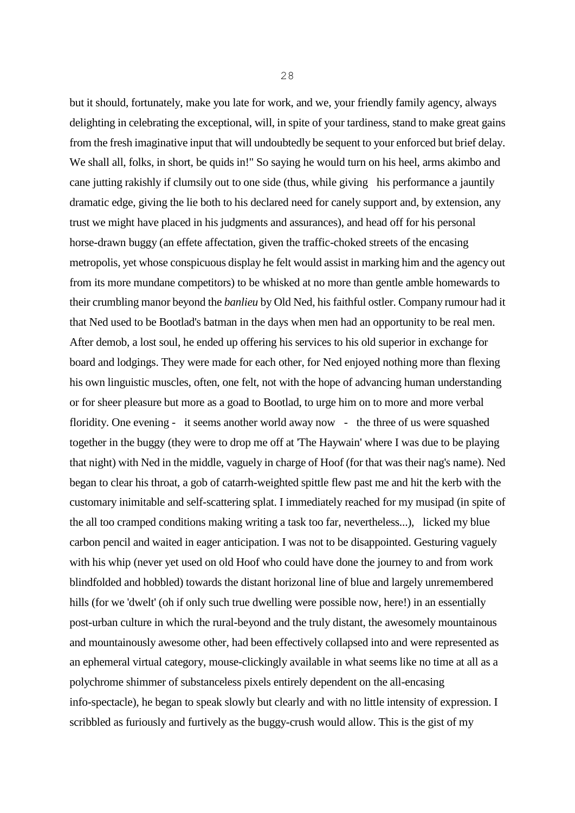but it should, fortunately, make you late for work, and we, your friendly family agency, always delighting in celebrating the exceptional, will, in spite of your tardiness, stand to make great gains from the fresh imaginative input that will undoubtedly be sequent to your enforced but brief delay. We shall all, folks, in short, be quids in!" So saying he would turn on his heel, arms akimbo and cane jutting rakishly if clumsily out to one side (thus, while giving his performance a jauntily dramatic edge, giving the lie both to his declared need for canely support and, by extension, any trust we might have placed in his judgments and assurances), and head off for his personal horse-drawn buggy (an effete affectation, given the traffic-choked streets of the encasing metropolis, yet whose conspicuous display he felt would assist in marking him and the agency out from its more mundane competitors) to be whisked at no more than gentle amble homewards to their crumbling manor beyond the *banlieu* by Old Ned, his faithful ostler. Company rumour had it that Ned used to be Bootlad's batman in the days when men had an opportunity to be real men. After demob, a lost soul, he ended up offering his services to his old superior in exchange for board and lodgings. They were made for each other, for Ned enjoyed nothing more than flexing his own linguistic muscles, often, one felt, not with the hope of advancing human understanding or for sheer pleasure but more as a goad to Bootlad, to urge him on to more and more verbal floridity. One evening - it seems another world away now - the three of us were squashed together in the buggy (they were to drop me off at 'The Haywain' where I was due to be playing that night) with Ned in the middle, vaguely in charge of Hoof (for that was their nag's name). Ned began to clear his throat, a gob of catarrh-weighted spittle flew past me and hit the kerb with the customary inimitable and self-scattering splat. I immediately reached for my musipad (in spite of the all too cramped conditions making writing a task too far, nevertheless...), licked my blue carbon pencil and waited in eager anticipation. I was not to be disappointed. Gesturing vaguely with his whip (never yet used on old Hoof who could have done the journey to and from work blindfolded and hobbled) towards the distant horizonal line of blue and largely unremembered hills (for we 'dwelt' (oh if only such true dwelling were possible now, here!) in an essentially post-urban culture in which the rural-beyond and the truly distant, the awesomely mountainous and mountainously awesome other, had been effectively collapsed into and were represented as an ephemeral virtual category, mouse-clickingly available in what seems like no time at all as a polychrome shimmer of substanceless pixels entirely dependent on the all-encasing info-spectacle), he began to speak slowly but clearly and with no little intensity of expression. I scribbled as furiously and furtively as the buggy-crush would allow. This is the gist of my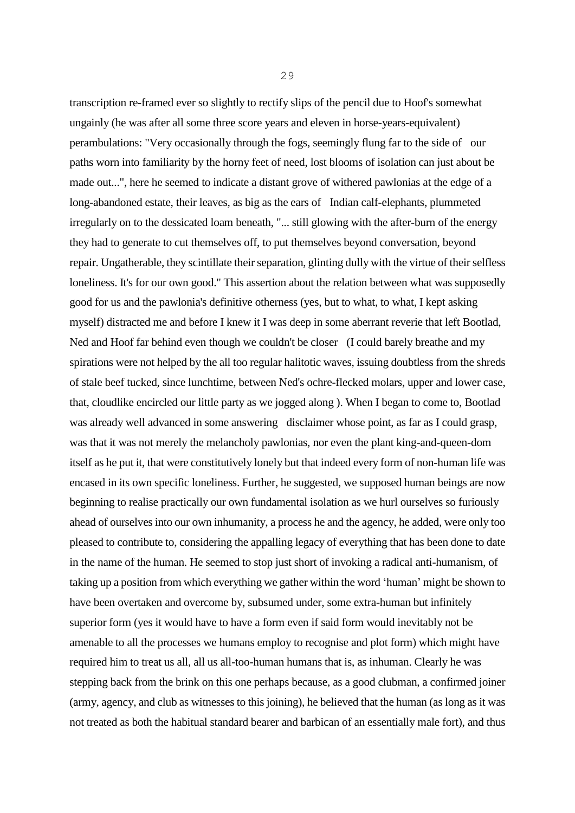transcription re-framed ever so slightly to rectify slips of the pencil due to Hoof's somewhat ungainly (he was after all some three score years and eleven in horse-years-equivalent) perambulations: "Very occasionally through the fogs, seemingly flung far to the side of our paths worn into familiarity by the horny feet of need, lost blooms of isolation can just about be made out...", here he seemed to indicate a distant grove of withered pawlonias at the edge of a long-abandoned estate, their leaves, as big as the ears of Indian calf-elephants, plummeted irregularly on to the dessicated loam beneath, "... still glowing with the after-burn of the energy they had to generate to cut themselves off, to put themselves beyond conversation, beyond repair. Ungatherable, they scintillate their separation, glinting dully with the virtue of their selfless loneliness. It's for our own good." This assertion about the relation between what was supposedly good for us and the pawlonia's definitive otherness (yes, but to what, to what, I kept asking myself) distracted me and before I knew it I was deep in some aberrant reverie that left Bootlad, Ned and Hoof far behind even though we couldn't be closer (I could barely breathe and my spirations were not helped by the all too regular halitotic waves, issuing doubtless from the shreds of stale beef tucked, since lunchtime, between Ned's ochre-flecked molars, upper and lower case, that, cloudlike encircled our little party as we jogged along ). When I began to come to, Bootlad was already well advanced in some answering disclaimer whose point, as far as I could grasp, was that it was not merely the melancholy pawlonias, nor even the plant king-and-queen-dom itself as he put it, that were constitutively lonely but that indeed every form of non-human life was encased in its own specific loneliness. Further, he suggested, we supposed human beings are now beginning to realise practically our own fundamental isolation as we hurl ourselves so furiously ahead of ourselves into our own inhumanity, a process he and the agency, he added, were only too pleased to contribute to, considering the appalling legacy of everything that has been done to date in the name of the human. He seemed to stop just short of invoking a radical anti-humanism, of taking up a position from which everything we gather within the word 'human' might be shown to have been overtaken and overcome by, subsumed under, some extra-human but infinitely superior form (yes it would have to have a form even if said form would inevitably not be amenable to all the processes we humans employ to recognise and plot form) which might have required him to treat us all, all us all-too-human humans that is, as inhuman. Clearly he was stepping back from the brink on this one perhaps because, as a good clubman, a confirmed joiner (army, agency, and club as witnesses to this joining), he believed that the human (as long as it was not treated as both the habitual standard bearer and barbican of an essentially male fort), and thus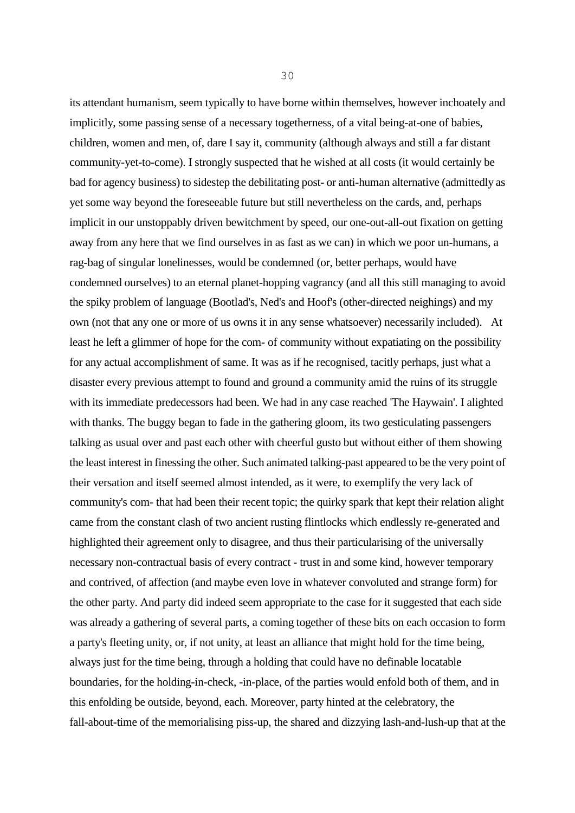its attendant humanism, seem typically to have borne within themselves, however inchoately and implicitly, some passing sense of a necessary togetherness, of a vital being-at-one of babies, children, women and men, of, dare I say it, community (although always and still a far distant community-yet-to-come). I strongly suspected that he wished at all costs (it would certainly be bad for agency business) to sidestep the debilitating post- or anti-human alternative (admittedly as yet some way beyond the foreseeable future but still nevertheless on the cards, and, perhaps implicit in our unstoppably driven bewitchment by speed, our one-out-all-out fixation on getting away from any here that we find ourselves in as fast as we can) in which we poor un-humans, a rag-bag of singular lonelinesses, would be condemned (or, better perhaps, would have condemned ourselves) to an eternal planet-hopping vagrancy (and all this still managing to avoid the spiky problem of language (Bootlad's, Ned's and Hoof's (other-directed neighings) and my own (not that any one or more of us owns it in any sense whatsoever) necessarily included). At least he left a glimmer of hope for the com- of community without expatiating on the possibility for any actual accomplishment of same. It was as if he recognised, tacitly perhaps, just what a disaster every previous attempt to found and ground a community amid the ruins of its struggle with its immediate predecessors had been. We had in any case reached 'The Haywain'. I alighted with thanks. The buggy began to fade in the gathering gloom, its two gesticulating passengers talking as usual over and past each other with cheerful gusto but without either of them showing the least interest in finessing the other. Such animated talking-past appeared to be the very point of their versation and itself seemed almost intended, as it were, to exemplify the very lack of community's com- that had been their recent topic; the quirky spark that kept their relation alight came from the constant clash of two ancient rusting flintlocks which endlessly re-generated and highlighted their agreement only to disagree, and thus their particularising of the universally necessary non-contractual basis of every contract - trust in and some kind, however temporary and contrived, of affection (and maybe even love in whatever convoluted and strange form) for the other party. And party did indeed seem appropriate to the case for it suggested that each side was already a gathering of several parts, a coming together of these bits on each occasion to form a party's fleeting unity, or, if not unity, at least an alliance that might hold for the time being, always just for the time being, through a holding that could have no definable locatable boundaries, for the holding-in-check, -in-place, of the parties would enfold both of them, and in this enfolding be outside, beyond, each. Moreover, party hinted at the celebratory, the fall-about-time of the memorialising piss-up, the shared and dizzying lash-and-lush-up that at the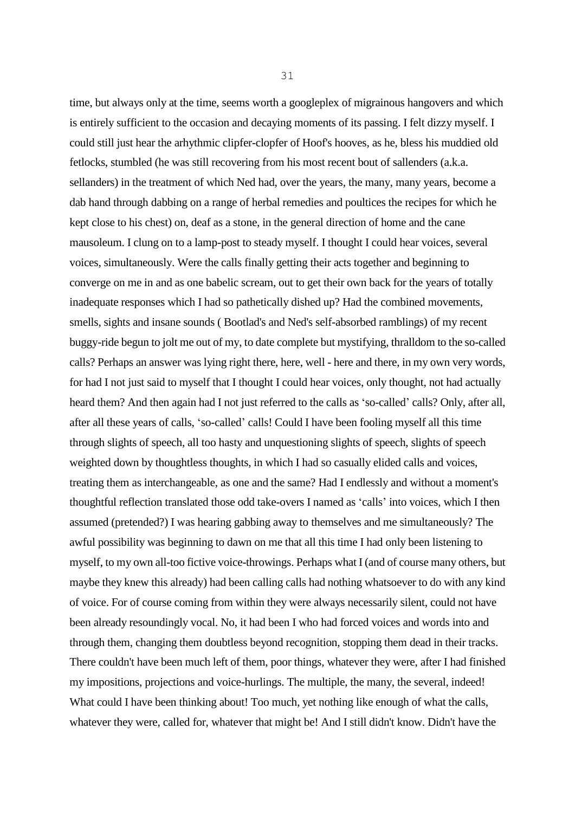time, but always only at the time, seems worth a googleplex of migrainous hangovers and which is entirely sufficient to the occasion and decaying moments of its passing. I felt dizzy myself. I could still just hear the arhythmic clipfer-clopfer of Hoof's hooves, as he, bless his muddied old fetlocks, stumbled (he was still recovering from his most recent bout of sallenders (a.k.a. sellanders) in the treatment of which Ned had, over the years, the many, many years, become a dab hand through dabbing on a range of herbal remedies and poultices the recipes for which he kept close to his chest) on, deaf as a stone, in the general direction of home and the cane mausoleum. I clung on to a lamp-post to steady myself. I thought I could hear voices, several voices, simultaneously. Were the calls finally getting their acts together and beginning to converge on me in and as one babelic scream, out to get their own back for the years of totally inadequate responses which I had so pathetically dished up? Had the combined movements, smells, sights and insane sounds ( Bootlad's and Ned's self-absorbed ramblings) of my recent buggy-ride begun to jolt me out of my, to date complete but mystifying, thralldom to the so-called calls? Perhaps an answer was lying right there, here, well - here and there, in my own very words, for had I not just said to myself that I thought I could hear voices, only thought, not had actually heard them? And then again had I not just referred to the calls as 'so-called' calls? Only, after all, after all these years of calls, 'so-called' calls! Could I have been fooling myself all this time through slights of speech, all too hasty and unquestioning slights of speech, slights of speech weighted down by thoughtless thoughts, in which I had so casually elided calls and voices, treating them as interchangeable, as one and the same? Had I endlessly and without a moment's thoughtful reflection translated those odd take-overs I named as 'calls' into voices, which I then assumed (pretended?) I was hearing gabbing away to themselves and me simultaneously? The awful possibility was beginning to dawn on me that all this time I had only been listening to myself, to my own all-too fictive voice-throwings. Perhaps what I (and of course many others, but maybe they knew this already) had been calling calls had nothing whatsoever to do with any kind of voice. For of course coming from within they were always necessarily silent, could not have been already resoundingly vocal. No, it had been I who had forced voices and words into and through them, changing them doubtless beyond recognition, stopping them dead in their tracks. There couldn't have been much left of them, poor things, whatever they were, after I had finished my impositions, projections and voice-hurlings. The multiple, the many, the several, indeed! What could I have been thinking about! Too much, yet nothing like enough of what the calls, whatever they were, called for, whatever that might be! And I still didn't know. Didn't have the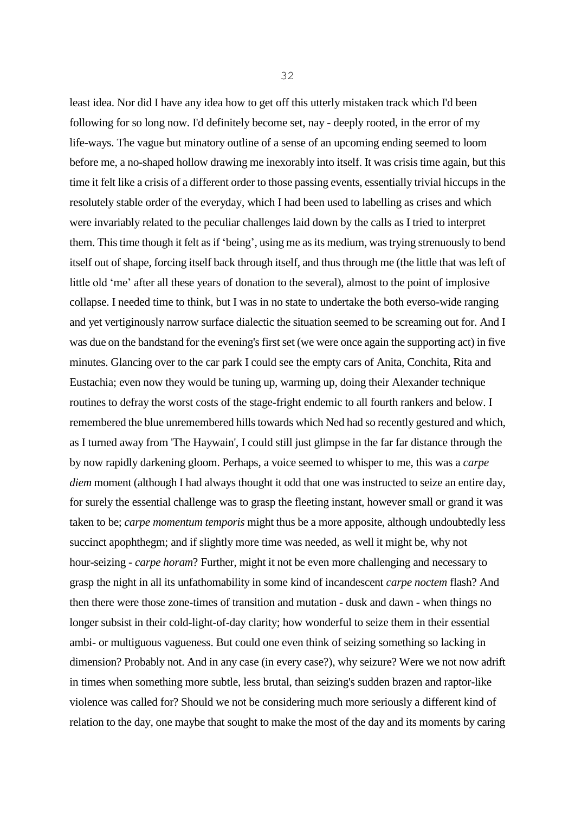least idea. Nor did I have any idea how to get off this utterly mistaken track which I'd been following for so long now. I'd definitely become set, nay - deeply rooted, in the error of my life-ways. The vague but minatory outline of a sense of an upcoming ending seemed to loom before me, a no-shaped hollow drawing me inexorably into itself. It was crisis time again, but this time it felt like a crisis of a different order to those passing events, essentially trivial hiccups in the resolutely stable order of the everyday, which I had been used to labelling as crises and which were invariably related to the peculiar challenges laid down by the calls as I tried to interpret them. This time though it felt as if 'being', using me as its medium, was trying strenuously to bend itself out of shape, forcing itself back through itself, and thus through me (the little that was left of little old 'me' after all these years of donation to the several), almost to the point of implosive collapse. I needed time to think, but I was in no state to undertake the both everso-wide ranging and yet vertiginously narrow surface dialectic the situation seemed to be screaming out for. And I was due on the bandstand for the evening's first set (we were once again the supporting act) in five minutes. Glancing over to the car park I could see the empty cars of Anita, Conchita, Rita and Eustachia; even now they would be tuning up, warming up, doing their Alexander technique routines to defray the worst costs of the stage-fright endemic to all fourth rankers and below. I remembered the blue unremembered hills towards which Ned had so recently gestured and which, as I turned away from 'The Haywain', I could still just glimpse in the far far distance through the by now rapidly darkening gloom. Perhaps, a voice seemed to whisper to me, this was a *carpe diem* moment (although I had always thought it odd that one was instructed to seize an entire day, for surely the essential challenge was to grasp the fleeting instant, however small or grand it was taken to be; *carpe momentum temporis* might thus be a more apposite, although undoubtedly less succinct apophthegm; and if slightly more time was needed, as well it might be, why not hour-seizing - *carpe horam*? Further, might it not be even more challenging and necessary to grasp the night in all its unfathomability in some kind of incandescent *carpe noctem* flash? And then there were those zone-times of transition and mutation - dusk and dawn - when things no longer subsist in their cold-light-of-day clarity; how wonderful to seize them in their essential ambi- or multiguous vagueness. But could one even think of seizing something so lacking in dimension? Probably not. And in any case (in every case?), why seizure? Were we not now adrift in times when something more subtle, less brutal, than seizing's sudden brazen and raptor-like violence was called for? Should we not be considering much more seriously a different kind of relation to the day, one maybe that sought to make the most of the day and its moments by caring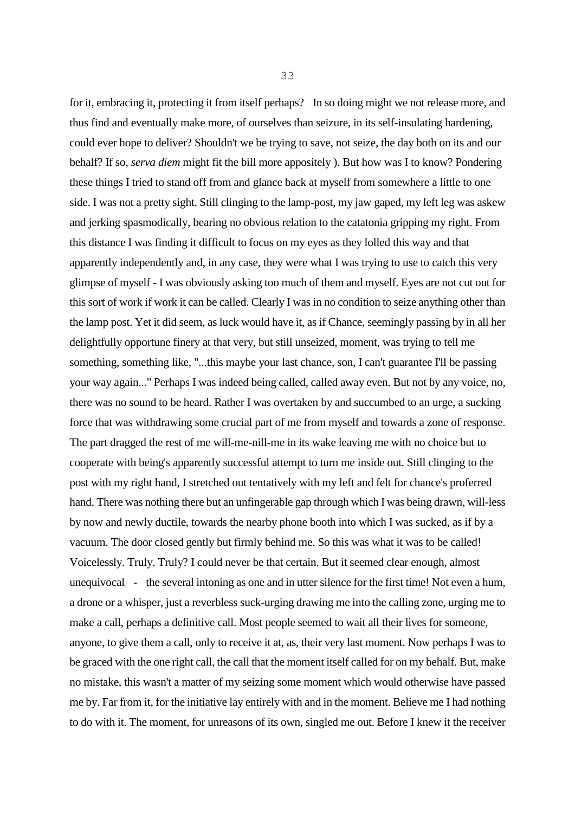for it, embracing it, protecting it from itself perhaps? In so doing might we not release more, and thus find and eventually make more, of ourselves than seizure, in its self-insulating hardening, could ever hope to deliver? Shouldn't we be trying to save, not seize, the day both on its and our behalf? If so, *serva diem* might fit the bill more appositely ). But how was I to know? Pondering these things I tried to stand off from and glance back at myself from somewhere a little to one side. I was not a pretty sight. Still clinging to the lamp-post, my jaw gaped, my left leg was askew and jerking spasmodically, bearing no obvious relation to the catatonia gripping my right. From this distance I was finding it difficult to focus on my eyes as they lolled this way and that apparently independently and, in any case, they were what I was trying to use to catch this very glimpse of myself - I was obviously asking too much of them and myself. Eyes are not cut out for this sort of work if work it can be called. Clearly I was in no condition to seize anything other than the lamp post. Yet it did seem, as luck would have it, as if Chance, seemingly passing by in all her delightfully opportune finery at that very, but still unseized, moment, was trying to tell me something, something like, "...this maybe your last chance, son, I can't guarantee I'll be passing your way again..." Perhaps I was indeed being called, called away even. But not by any voice, no, there was no sound to be heard. Rather I was overtaken by and succumbed to an urge, a sucking force that was withdrawing some crucial part of me from myself and towards a zone of response. The part dragged the rest of me will-me-nill-me in its wake leaving me with no choice but to cooperate with being's apparently successful attempt to turn me inside out. Still clinging to the post with my right hand, I stretched out tentatively with my left and felt for chance's proferred hand. There was nothing there but an unfingerable gap through which I was being drawn, will-less by now and newly ductile, towards the nearby phone booth into which I was sucked, as if by a vacuum. The door closed gently but firmly behind me. So this was what it was to be called! Voicelessly. Truly. Truly? I could never be that certain. But it seemed clear enough, almost unequivocal - the several intoning as one and in utter silence for the first time! Not even a hum, a drone or a whisper, just a reverbless suck-urging drawing me into the calling zone, urging me to make a call, perhaps a definitive call. Most people seemed to wait all their lives for someone, anyone, to give them a call, only to receive it at, as, their very last moment. Now perhaps I was to be graced with the one right call, the call that the moment itself called for on my behalf. But, make no mistake, this wasn't a matter of my seizing some moment which would otherwise have passed me by. Far from it, for the initiative lay entirely with and in the moment. Believe me I had nothing

to do with it. The moment, for unreasons of its own, singled me out. Before I knew it the receiver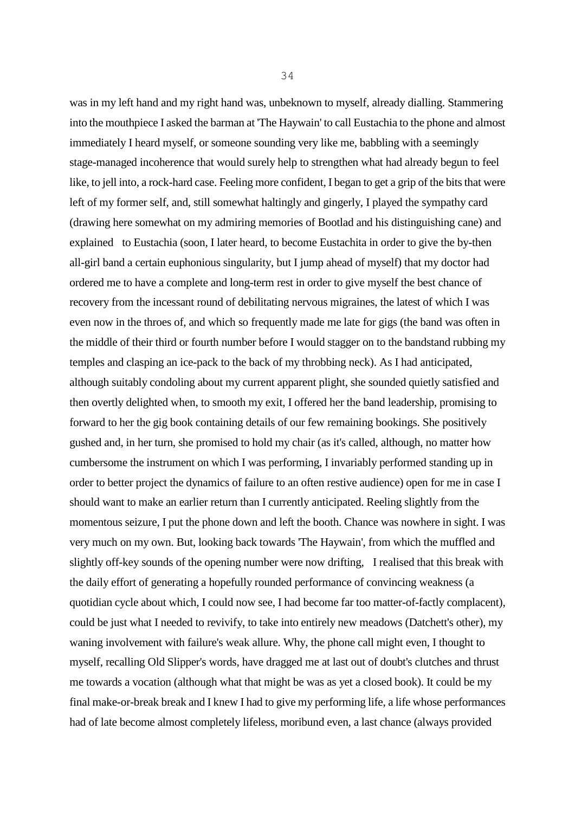was in my left hand and my right hand was, unbeknown to myself, already dialling. Stammering into the mouthpiece I asked the barman at 'The Haywain' to call Eustachia to the phone and almost immediately I heard myself, or someone sounding very like me, babbling with a seemingly stage-managed incoherence that would surely help to strengthen what had already begun to feel like, to jell into, a rock-hard case. Feeling more confident, I began to get a grip of the bits that were left of my former self, and, still somewhat haltingly and gingerly, I played the sympathy card (drawing here somewhat on my admiring memories of Bootlad and his distinguishing cane) and explained to Eustachia (soon, I later heard, to become Eustachita in order to give the by-then all-girl band a certain euphonious singularity, but I jump ahead of myself) that my doctor had ordered me to have a complete and long-term rest in order to give myself the best chance of recovery from the incessant round of debilitating nervous migraines, the latest of which I was even now in the throes of, and which so frequently made me late for gigs (the band was often in the middle of their third or fourth number before I would stagger on to the bandstand rubbing my temples and clasping an ice-pack to the back of my throbbing neck). As I had anticipated, although suitably condoling about my current apparent plight, she sounded quietly satisfied and then overtly delighted when, to smooth my exit, I offered her the band leadership, promising to forward to her the gig book containing details of our few remaining bookings. She positively gushed and, in her turn, she promised to hold my chair (as it's called, although, no matter how cumbersome the instrument on which I was performing, I invariably performed standing up in order to better project the dynamics of failure to an often restive audience) open for me in case I should want to make an earlier return than I currently anticipated. Reeling slightly from the momentous seizure, I put the phone down and left the booth. Chance was nowhere in sight. I was very much on my own. But, looking back towards 'The Haywain', from which the muffled and slightly off-key sounds of the opening number were now drifting, I realised that this break with the daily effort of generating a hopefully rounded performance of convincing weakness (a quotidian cycle about which, I could now see, I had become far too matter-of-factly complacent), could be just what I needed to revivify, to take into entirely new meadows (Datchett's other), my waning involvement with failure's weak allure. Why, the phone call might even, I thought to myself, recalling Old Slipper's words, have dragged me at last out of doubt's clutches and thrust me towards a vocation (although what that might be was as yet a closed book). It could be my final make-or-break break and I knew I had to give my performing life, a life whose performances had of late become almost completely lifeless, moribund even, a last chance (always provided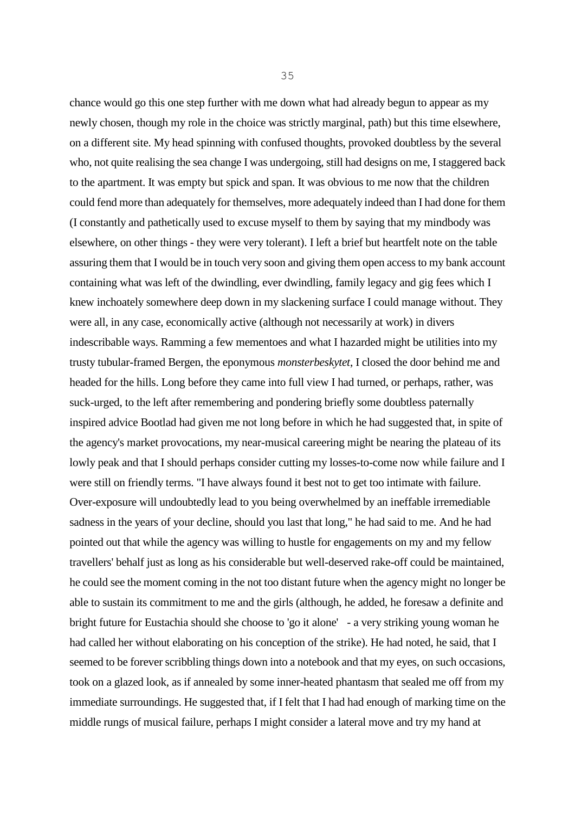chance would go this one step further with me down what had already begun to appear as my newly chosen, though my role in the choice was strictly marginal, path) but this time elsewhere, on a different site. My head spinning with confused thoughts, provoked doubtless by the several who, not quite realising the sea change I was undergoing, still had designs on me, I staggered back to the apartment. It was empty but spick and span. It was obvious to me now that the children could fend more than adequately for themselves, more adequately indeed than I had done for them (I constantly and pathetically used to excuse myself to them by saying that my mindbody was elsewhere, on other things - they were very tolerant). I left a brief but heartfelt note on the table assuring them that I would be in touch very soon and giving them open access to my bank account containing what was left of the dwindling, ever dwindling, family legacy and gig fees which I knew inchoately somewhere deep down in my slackening surface I could manage without. They were all, in any case, economically active (although not necessarily at work) in divers indescribable ways. Ramming a few mementoes and what I hazarded might be utilities into my trusty tubular-framed Bergen, the eponymous *monsterbeskytet*, I closed the door behind me and headed for the hills. Long before they came into full view I had turned, or perhaps, rather, was suck-urged, to the left after remembering and pondering briefly some doubtless paternally inspired advice Bootlad had given me not long before in which he had suggested that, in spite of the agency's market provocations, my near-musical careering might be nearing the plateau of its lowly peak and that I should perhaps consider cutting my losses-to-come now while failure and I were still on friendly terms. "I have always found it best not to get too intimate with failure. Over-exposure will undoubtedly lead to you being overwhelmed by an ineffable irremediable sadness in the years of your decline, should you last that long," he had said to me. And he had pointed out that while the agency was willing to hustle for engagements on my and my fellow travellers' behalf just as long as his considerable but well-deserved rake-off could be maintained, he could see the moment coming in the not too distant future when the agency might no longer be able to sustain its commitment to me and the girls (although, he added, he foresaw a definite and bright future for Eustachia should she choose to 'go it alone' - a very striking young woman he had called her without elaborating on his conception of the strike). He had noted, he said, that I seemed to be forever scribbling things down into a notebook and that my eyes, on such occasions, took on a glazed look, as if annealed by some inner-heated phantasm that sealed me off from my immediate surroundings. He suggested that, if I felt that I had had enough of marking time on the middle rungs of musical failure, perhaps I might consider a lateral move and try my hand at